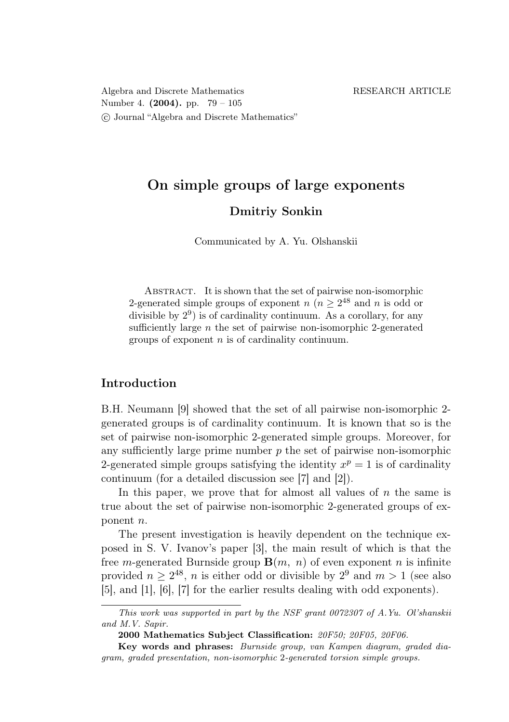Algebra and Discrete Mathematics RESEARCH ARTICLE Number 4. (2004). pp. 79 – 105 c Journal "Algebra and Discrete Mathematics"

# On simple groups of large exponents Dmitriy Sonkin

Communicated by A. Yu. Olshanskii

ABSTRACT. It is shown that the set of pairwise non-isomorphic 2-generated simple groups of exponent  $n (n \geq 2^{48})$  and n is odd or divisible by  $2^9$ ) is of cardinality continuum. As a corollary, for any sufficiently large  $n$  the set of pairwise non-isomorphic 2-generated groups of exponent  $n$  is of cardinality continuum.

# Introduction

B.H. Neumann [9] showed that the set of all pairwise non-isomorphic 2 generated groups is of cardinality continuum. It is known that so is the set of pairwise non-isomorphic 2-generated simple groups. Moreover, for any sufficiently large prime number  $p$  the set of pairwise non-isomorphic 2-generated simple groups satisfying the identity  $x^p = 1$  is of cardinality continuum (for a detailed discussion see [7] and [2]).

In this paper, we prove that for almost all values of  $n$  the same is true about the set of pairwise non-isomorphic 2-generated groups of exponent n.

The present investigation is heavily dependent on the technique exposed in S. V. Ivanov's paper [3], the main result of which is that the free *m*-generated Burnside group  $\mathbf{B}(m, n)$  of even exponent *n* is infinite provided  $n \geq 2^{48}$ , *n* is either odd or divisible by  $2^9$  and  $m > 1$  (see also [5], and [1], [6], [7] for the earlier results dealing with odd exponents).

This work was supported in part by the NSF grant 0072307 of A.Yu. Ol'shanskii and M.V. Sapir.

<sup>2000</sup> Mathematics Subject Classification: 20F50; 20F05, 20F06.

Key words and phrases: Burnside group, van Kampen diagram, graded diagram, graded presentation, non-isomorphic 2-generated torsion simple groups.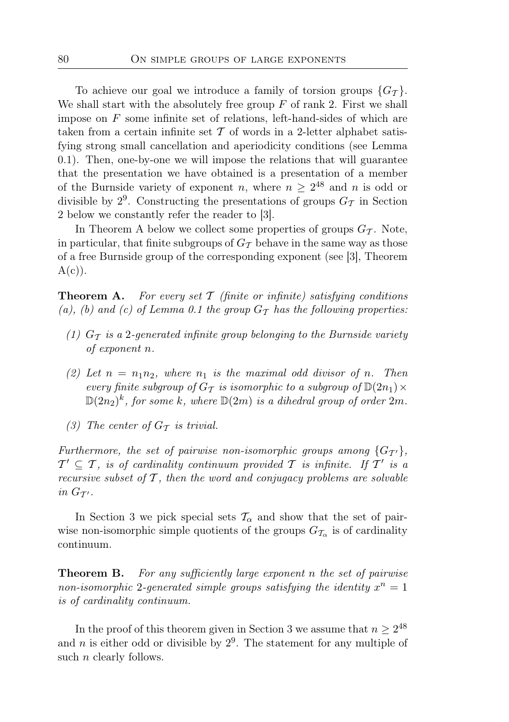To achieve our goal we introduce a family of torsion groups  $\{G_{\mathcal{T}}\}.$ We shall start with the absolutely free group  $F$  of rank 2. First we shall impose on  $F$  some infinite set of relations, left-hand-sides of which are taken from a certain infinite set  $T$  of words in a 2-letter alphabet satisfying strong small cancellation and aperiodicity conditions (see Lemma 0.1). Then, one-by-one we will impose the relations that will guarantee that the presentation we have obtained is a presentation of a member of the Burnside variety of exponent n, where  $n \geq 2^{48}$  and n is odd or divisible by  $2^9$ . Constructing the presentations of groups  $G_T$  in Section 2 below we constantly refer the reader to [3].

In Theorem A below we collect some properties of groups  $G_{\mathcal{T}}$ . Note, in particular, that finite subgroups of  $G<sub>T</sub>$  behave in the same way as those of a free Burnside group of the corresponding exponent (see [3], Theorem  $A(c)$ ).

**Theorem A.** For every set  $\mathcal T$  (finite or infinite) satisfying conditions (a), (b) and (c) of Lemma 0.1 the group  $G<sub>T</sub>$  has the following properties:

- (1)  $G_{\mathcal{T}}$  is a 2-generated infinite group belonging to the Burnside variety of exponent n.
- (2) Let  $n = n_1 n_2$ , where  $n_1$  is the maximal odd divisor of n. Then every finite subgroup of  $G_{\mathcal{T}}$  is isomorphic to a subgroup of  $\mathbb{D}(2n_1)\times$  $\mathbb{D}(2n_2)^k$ , for some k, where  $\mathbb{D}(2m)$  is a dihedral group of order  $2m$ .
- (3) The center of  $G_{\mathcal{T}}$  is trivial.

Furthermore, the set of pairwise non-isomorphic groups among  $\{G_{\mathcal{T}'}\},\$  $\mathcal{T}' \subseteq \mathcal{T}$ , is of cardinality continuum provided  $\mathcal{T}$  is infinite. If  $\mathcal{T}'$  is a recursive subset of  $T$ , then the word and conjugacy problems are solvable in  $G_{\mathcal{T}'}$ .

In Section 3 we pick special sets  $\mathcal{T}_{\alpha}$  and show that the set of pairwise non-isomorphic simple quotients of the groups  $G_{\mathcal{T}_{\alpha}}$  is of cardinality continuum.

**Theorem B.** For any sufficiently large exponent n the set of pairwise non-isomorphic 2-generated simple groups satisfying the identity  $x^n = 1$ is of cardinality continuum.

In the proof of this theorem given in Section 3 we assume that  $n \geq 2^{48}$ and *n* is either odd or divisible by  $2^9$ . The statement for any multiple of such *n* clearly follows.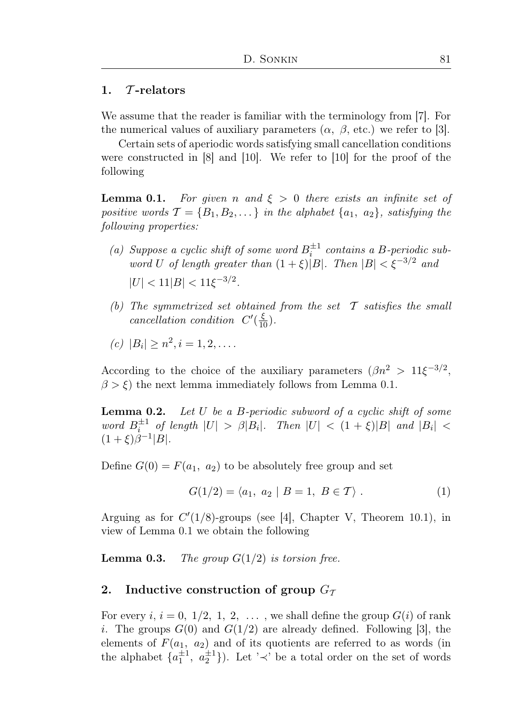## 1.  $\tau$ -relators

We assume that the reader is familiar with the terminology from [7]. For the numerical values of auxiliary parameters  $(\alpha, \beta, \text{etc.})$  we refer to [3].

Certain sets of aperiodic words satisfying small cancellation conditions were constructed in [8] and [10]. We refer to [10] for the proof of the following

**Lemma 0.1.** For given n and  $\xi > 0$  there exists an infinite set of positive words  $\mathcal{T} = \{B_1, B_2, \dots\}$  in the alphabet  $\{a_1, a_2\}$ , satisfying the following properties:

- (a) Suppose a cyclic shift of some word  $B_i^{\pm 1}$  contains a B-periodic subword U of length greater than  $(1 + \xi)|B|$ . Then  $|B| < \xi^{-3/2}$  and  $|U| < 11|B| < 11\xi^{-3/2}$ .
- (b) The symmetrized set obtained from the set  $\mathcal T$  satisfies the small cancellation condition  $C'(\frac{\xi}{10})$ .
- (c)  $|B_i| \geq n^2, i = 1, 2, \dots$

According to the choice of the auxiliary parameters  $(\beta n^2 > 11\xi^{-3/2},$  $\beta > \xi$ ) the next lemma immediately follows from Lemma 0.1.

**Lemma 0.2.** Let U be a B-periodic subword of a cyclic shift of some word  $B_i^{\pm 1}$  of length  $|U| > \beta |B_i|$ . Then  $|U| < (1 + \xi)|B|$  and  $|B_i|$  <  $(1+\xi)\beta^{-1}|B|.$ 

Define  $G(0) = F(a_1, a_2)$  to be absolutely free group and set

$$
G(1/2) = \langle a_1, a_2 | B = 1, B \in T \rangle.
$$
 (1)

Arguing as for  $C'(1/8)$ -groups (see [4], Chapter V, Theorem 10.1), in view of Lemma 0.1 we obtain the following

**Lemma 0.3.** The group  $G(1/2)$  is torsion free.

## 2. Inductive construction of group  $G_{\mathcal{T}}$

For every i,  $i = 0, 1/2, 1, 2, \ldots$ , we shall define the group  $G(i)$  of rank i. The groups  $G(0)$  and  $G(1/2)$  are already defined. Following [3], the elements of  $F(a_1, a_2)$  and of its quotients are referred to as words (in the alphabet  $\{a_1^{\pm 1}, a_2^{\pm 1}\}\)$ . Let ' $\prec$ ' be a total order on the set of words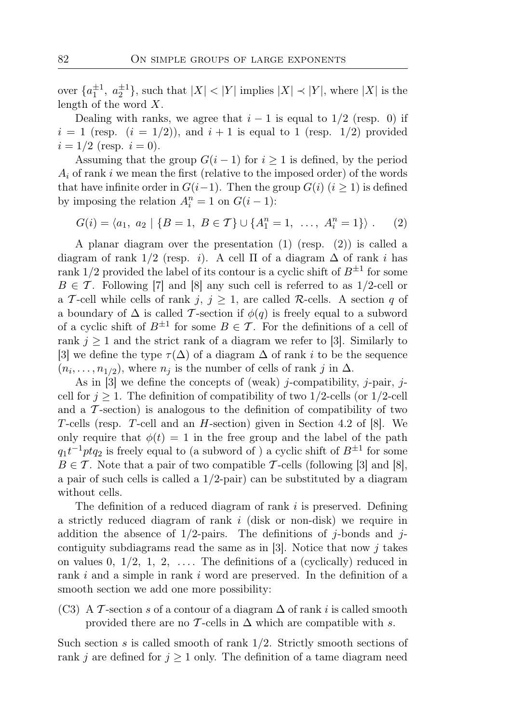over  $\{a_1^{\pm 1}, a_2^{\pm 1}\}$ , such that  $|X| < |Y|$  implies  $|X| \prec |Y|$ , where  $|X|$  is the length of the word  $X$ .

Dealing with ranks, we agree that  $i - 1$  is equal to  $1/2$  (resp. 0) if  $i = 1$  (resp.  $(i = 1/2)$ ), and  $i + 1$  is equal to 1 (resp. 1/2) provided  $i = 1/2$  (resp.  $i = 0$ ).

Assuming that the group  $G(i-1)$  for  $i \geq 1$  is defined, by the period  $A_i$  of rank i we mean the first (relative to the imposed order) of the words that have infinite order in  $G(i-1)$ . Then the group  $G(i)$   $(i \geq 1)$  is defined by imposing the relation  $A_i^n = 1$  on  $G(i-1)$ :

$$
G(i) = \langle a_1, a_2 | \{B = 1, B \in \mathcal{T}\} \cup \{A_1^n = 1, \ldots, A_i^n = 1\} \rangle. \tag{2}
$$

A planar diagram over the presentation (1) (resp. (2)) is called a diagram of rank  $1/2$  (resp. *i*). A cell  $\Pi$  of a diagram  $\Delta$  of rank *i* has rank  $1/2$  provided the label of its contour is a cyclic shift of  $B^{\pm 1}$  for some  $B \in \mathcal{T}$ . Following [7] and [8] any such cell is referred to as 1/2-cell or a T-cell while cells of rank  $j, j \ge 1$ , are called R-cells. A section q of a boundary of  $\Delta$  is called T-section if  $\phi(q)$  is freely equal to a subword of a cyclic shift of  $B^{\pm 1}$  for some  $B \in \mathcal{T}$ . For the definitions of a cell of rank  $j \geq 1$  and the strict rank of a diagram we refer to [3]. Similarly to [3] we define the type  $\tau(\Delta)$  of a diagram  $\Delta$  of rank i to be the sequence  $(n_i, \ldots, n_{1/2})$ , where  $n_j$  is the number of cells of rank j in  $\Delta$ .

As in [3] we define the concepts of (weak) j-compatibility, j-pair, jcell for  $j \geq 1$ . The definition of compatibility of two 1/2-cells (or 1/2-cell and a  $\mathcal T$ -section) is analogous to the definition of compatibility of two T-cells (resp. T-cell and an H-section) given in Section 4.2 of [8]. We only require that  $\phi(t) = 1$  in the free group and the label of the path  $q_1t^{-1}ptq_2$  is freely equal to (a subword of) a cyclic shift of  $B^{\pm 1}$  for some  $B \in \mathcal{T}$ . Note that a pair of two compatible  $\mathcal{T}$ -cells (following [3] and [8], a pair of such cells is called a  $1/2$ -pair) can be substituted by a diagram without cells.

The definition of a reduced diagram of rank i is preserved. Defining a strictly reduced diagram of rank i (disk or non-disk) we require in addition the absence of  $1/2$ -pairs. The definitions of j-bonds and jcontiguity subdiagrams read the same as in [3]. Notice that now  $j$  takes on values 0,  $1/2$ , 1, 2, .... The definitions of a (cyclically) reduced in rank i and a simple in rank i word are preserved. In the definition of a smooth section we add one more possibility:

(C3) A T-section s of a contour of a diagram  $\Delta$  of rank i is called smooth provided there are no T-cells in  $\Delta$  which are compatible with s.

Such section s is called smooth of rank  $1/2$ . Strictly smooth sections of rank j are defined for  $j \ge 1$  only. The definition of a tame diagram need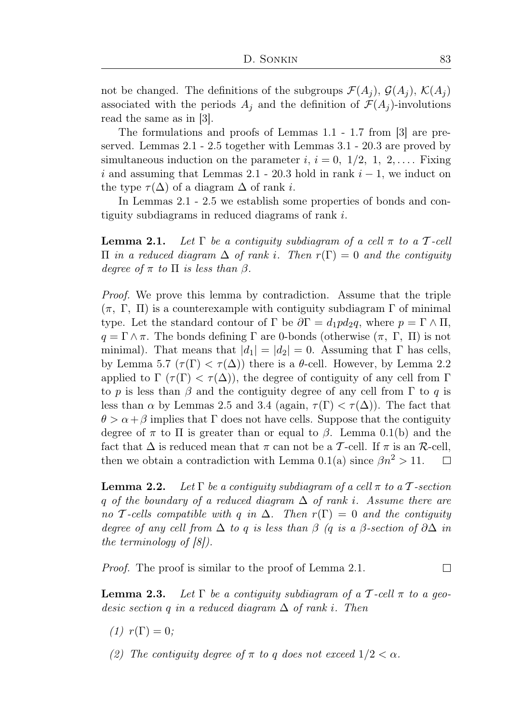not be changed. The definitions of the subgroups  $\mathcal{F}(A_i)$ ,  $\mathcal{G}(A_i)$ ,  $\mathcal{K}(A_i)$ associated with the periods  $A_i$  and the definition of  $\mathcal{F}(A_i)$ -involutions read the same as in [3].

The formulations and proofs of Lemmas 1.1 - 1.7 from [3] are preserved. Lemmas 2.1 - 2.5 together with Lemmas 3.1 - 20.3 are proved by simultaneous induction on the parameter i,  $i = 0, 1/2, 1, 2, \ldots$ . Fixing i and assuming that Lemmas 2.1 - 20.3 hold in rank  $i - 1$ , we induct on the type  $\tau(\Delta)$  of a diagram  $\Delta$  of rank *i*.

In Lemmas 2.1 - 2.5 we establish some properties of bonds and contiguity subdiagrams in reduced diagrams of rank i.

**Lemma 2.1.** Let  $\Gamma$  be a contiguity subdiagram of a cell  $\pi$  to a T-cell Π in a reduced diagram ∆ of rank i. Then r(Γ) = 0 and the contiguity degree of  $\pi$  to  $\Pi$  is less than  $\beta$ .

Proof. We prove this lemma by contradiction. Assume that the triple  $(\pi, \Gamma, \Pi)$  is a counterexample with contiguity subdiagram  $\Gamma$  of minimal type. Let the standard contour of  $\Gamma$  be  $\partial \Gamma = d_1 p d_2 q$ , where  $p = \Gamma \wedge \Pi$ ,  $q = \Gamma \wedge \pi$ . The bonds defining  $\Gamma$  are 0-bonds (otherwise  $(\pi, \Gamma, \Pi)$ ) is not minimal). That means that  $|d_1| = |d_2| = 0$ . Assuming that  $\Gamma$  has cells, by Lemma 5.7  $(\tau(\Gamma) < \tau(\Delta))$  there is a  $\theta$ -cell. However, by Lemma 2.2 applied to  $\Gamma(\tau(\Gamma) < \tau(\Delta))$ , the degree of contiguity of any cell from  $\Gamma$ to p is less than  $\beta$  and the contiguity degree of any cell from  $\Gamma$  to q is less than  $\alpha$  by Lemmas 2.5 and 3.4 (again,  $\tau(\Gamma) < \tau(\Delta)$ ). The fact that  $\theta > \alpha + \beta$  implies that  $\Gamma$  does not have cells. Suppose that the contiguity degree of  $\pi$  to  $\Pi$  is greater than or equal to  $\beta$ . Lemma 0.1(b) and the fact that  $\Delta$  is reduced mean that  $\pi$  can not be a T-cell. If  $\pi$  is an R-cell, then we obtain a contradiction with Lemma 0.1(a) since  $\beta n^2 > 11$ .  $\Box$ 

**Lemma 2.2.** Let  $\Gamma$  be a contiguity subdiagram of a cell  $\pi$  to a T-section q of the boundary of a reduced diagram  $\Delta$  of rank i. Assume there are no T-cells compatible with q in  $\Delta$ . Then  $r(\Gamma) = 0$  and the contiguity degree of any cell from  $\Delta$  to q is less than  $\beta$  (q is a  $\beta$ -section of  $\partial \Delta$  in the terminology of [8]).

Proof. The proof is similar to the proof of Lemma 2.1.  $\Box$ 

**Lemma 2.3.** Let  $\Gamma$  be a contiguity subdiagram of a T-cell  $\pi$  to a geodesic section q in a reduced diagram  $\Delta$  of rank i. Then

- (1)  $r(\Gamma) = 0;$
- (2) The contiguity degree of  $\pi$  to q does not exceed  $1/2 < \alpha$ .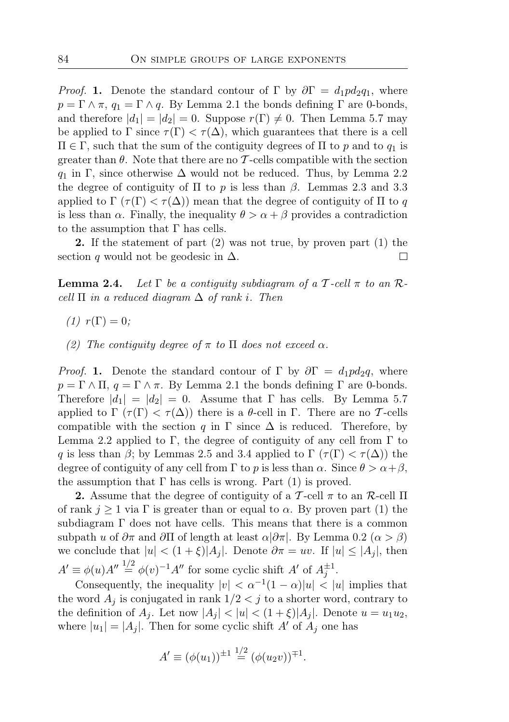*Proof.* 1. Denote the standard contour of Γ by  $\partial \Gamma = d_1 p d_2 q_1$ , where  $p = \Gamma \wedge \pi$ ,  $q_1 = \Gamma \wedge q$ . By Lemma 2.1 the bonds defining  $\Gamma$  are 0-bonds, and therefore  $|d_1| = |d_2| = 0$ . Suppose  $r(\Gamma) \neq 0$ . Then Lemma 5.7 may be applied to  $\Gamma$  since  $\tau(\Gamma) < \tau(\Delta)$ , which guarantees that there is a cell  $\Pi$  ∈ Γ, such that the sum of the contiguity degrees of Π to p and to  $q_1$  is greater than  $\theta$ . Note that there are no T-cells compatible with the section  $q_1$  in Γ, since otherwise  $\Delta$  would not be reduced. Thus, by Lemma 2.2 the degree of contiguity of  $\Pi$  to p is less than  $\beta$ . Lemmas 2.3 and 3.3 applied to  $\Gamma(\tau(\Gamma) < \tau(\Delta))$  mean that the degree of contiguity of  $\Pi$  to q is less than  $\alpha$ . Finally, the inequality  $\theta > \alpha + \beta$  provides a contradiction to the assumption that  $\Gamma$  has cells.

2. If the statement of part (2) was not true, by proven part (1) the section q would not be geodesic in  $\Delta$ .  $\Box$ 

**Lemma 2.4.** Let  $\Gamma$  be a contiguity subdiagram of a  $\mathcal{T}$ -cell  $\pi$  to an  $\mathcal{R}$ cell  $\Pi$  in a reduced diagram  $\Delta$  of rank i. Then

- $(1)$   $r(\Gamma) = 0$ ;
- (2) The contiguity degree of  $\pi$  to  $\Pi$  does not exceed  $\alpha$ .

*Proof.* 1. Denote the standard contour of Γ by  $\partial \Gamma = d_1 p d_2 q$ , where  $p = \Gamma \wedge \Pi$ ,  $q = \Gamma \wedge \pi$ . By Lemma 2.1 the bonds defining  $\Gamma$  are 0-bonds. Therefore  $|d_1| = |d_2| = 0$ . Assume that Γ has cells. By Lemma 5.7 applied to  $\Gamma(\tau(\Gamma) < \tau(\Delta))$  there is a θ-cell in Γ. There are no T-cells compatible with the section q in  $\Gamma$  since  $\Delta$  is reduced. Therefore, by Lemma 2.2 applied to Γ, the degree of contiguity of any cell from Γ to q is less than  $\beta$ ; by Lemmas 2.5 and 3.4 applied to  $\Gamma(\tau(\Gamma) < \tau(\Delta))$  the degree of contiguity of any cell from  $\Gamma$  to p is less than  $\alpha$ . Since  $\theta > \alpha + \beta$ , the assumption that  $\Gamma$  has cells is wrong. Part (1) is proved.

2. Assume that the degree of contiguity of a T-cell  $\pi$  to an R-cell  $\Pi$ of rank  $j \ge 1$  via  $\Gamma$  is greater than or equal to  $\alpha$ . By proven part (1) the subdiagram  $\Gamma$  does not have cells. This means that there is a common subpath u of  $\partial \pi$  and  $\partial \Pi$  of length at least  $\alpha |\partial \pi|$ . By Lemma 0.2 ( $\alpha > \beta$ ) we conclude that  $|u| < (1+\xi)|A_i|$ . Denote  $\partial \pi = uv$ . If  $|u| \leq |A_i|$ , then  $A' \equiv \phi(u)A'' \stackrel{1/2}{=} \phi(v)^{-1}A''$  for some cyclic shift  $A'$  of  $A_j^{\pm 1}$ .

Consequently, the inequality  $|v| < \alpha^{-1}(1-\alpha)|u| < |u|$  implies that the word  $A_j$  is conjugated in rank  $1/2 < j$  to a shorter word, contrary to the definition of  $A_j$ . Let now  $|A_j| < |u| < (1 + \xi)|A_j|$ . Denote  $u = u_1u_2$ , where  $|u_1| = |A_j|$ . Then for some cyclic shift A' of  $A_j$  one has

$$
A' \equiv (\phi(u_1))^{\pm 1} \stackrel{1/2}{=} (\phi(u_2 v))^{\mp 1}.
$$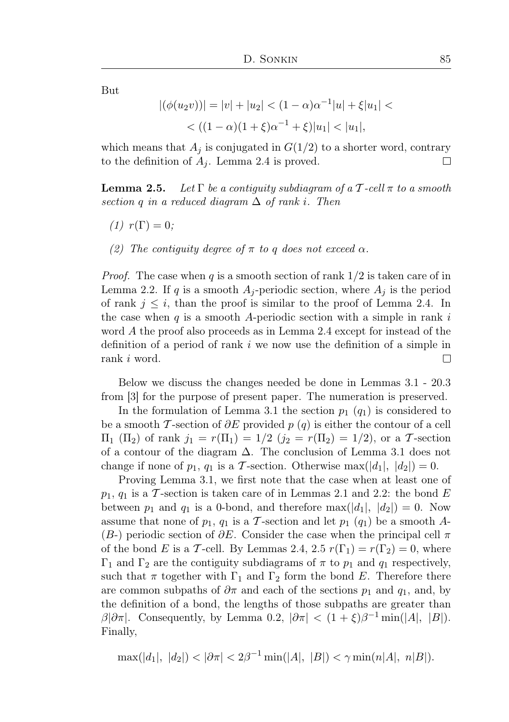But

$$
|(\phi(u_2v))| = |v| + |u_2| < (1 - \alpha)\alpha^{-1}|u| + \xi|u_1| < \\
& < ((1 - \alpha)(1 + \xi)\alpha^{-1} + \xi)|u_1| < |u_1|,
$$

which means that  $A_i$  is conjugated in  $G(1/2)$  to a shorter word, contrary to the definition of  $A_i$ . Lemma 2.4 is proved.  $\Box$ 

**Lemma 2.5.** Let  $\Gamma$  be a contiguity subdiagram of a  $\mathcal{T}$ -cell  $\pi$  to a smooth section q in a reduced diagram  $\Delta$  of rank i. Then

- $(1)$   $r(\Gamma) = 0$ ;
- (2) The contiguity degree of  $\pi$  to q does not exceed  $\alpha$ .

*Proof.* The case when q is a smooth section of rank  $1/2$  is taken care of in Lemma 2.2. If q is a smooth  $A_i$ -periodic section, where  $A_i$  is the period of rank  $j \leq i$ , than the proof is similar to the proof of Lemma 2.4. In the case when q is a smooth A-periodic section with a simple in rank i word A the proof also proceeds as in Lemma 2.4 except for instead of the definition of a period of rank  $i$  we now use the definition of a simple in rank i word. П

Below we discuss the changes needed be done in Lemmas 3.1 - 20.3 from [3] for the purpose of present paper. The numeration is preserved.

In the formulation of Lemma 3.1 the section  $p_1$  ( $q_1$ ) is considered to be a smooth T-section of  $\partial E$  provided p (q) is either the contour of a cell  $\Pi_1$  (Π<sub>2</sub>) of rank  $j_1 = r(\Pi_1) = 1/2$  ( $j_2 = r(\Pi_2) = 1/2$ ), or a T-section of a contour of the diagram  $\Delta$ . The conclusion of Lemma 3.1 does not change if none of  $p_1$ ,  $q_1$  is a T-section. Otherwise max( $|d_1|, |d_2|$ ) = 0.

Proving Lemma 3.1, we first note that the case when at least one of  $p_1, q_1$  is a T-section is taken care of in Lemmas 2.1 and 2.2: the bond E between  $p_1$  and  $q_1$  is a 0-bond, and therefore max $(|d_1|, |d_2|) = 0$ . Now assume that none of  $p_1$ ,  $q_1$  is a T-section and let  $p_1$   $(q_1)$  be a smooth A- $(B-)$  periodic section of  $\partial E$ . Consider the case when the principal cell  $\pi$ of the bond E is a T-cell. By Lemmas 2.4, 2.5  $r(\Gamma_1) = r(\Gamma_2) = 0$ , where  $Γ_1$  and  $Γ_2$  are the contiguity subdiagrams of π to  $p_1$  and  $q_1$  respectively, such that  $\pi$  together with  $\Gamma_1$  and  $\Gamma_2$  form the bond E. Therefore there are common subpaths of  $\partial \pi$  and each of the sections  $p_1$  and  $q_1$ , and, by the definition of a bond, the lengths of those subpaths are greater than  $\beta |\partial \pi|$ . Consequently, by Lemma 0.2,  $|\partial \pi| < (1+\xi)\beta^{-1} \min(|A|, |B|)$ . Finally,

$$
\max(|d_1|, |d_2|) < |\partial \pi| < 2\beta^{-1} \min(|A|, |B|) < \gamma \min(n|A|, n|B|).
$$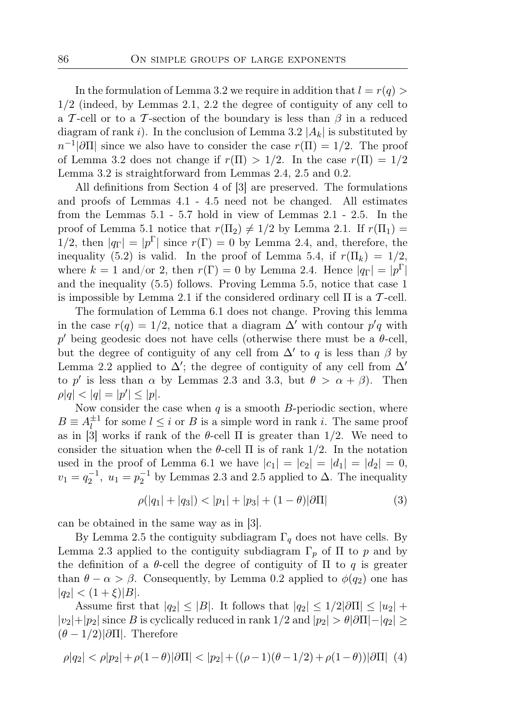In the formulation of Lemma 3.2 we require in addition that  $l = r(q)$ 1/2 (indeed, by Lemmas 2.1, 2.2 the degree of contiguity of any cell to a T-cell or to a T-section of the boundary is less than  $\beta$  in a reduced diagram of rank i). In the conclusion of Lemma 3.2  $|A_k|$  is substituted by  $n^{-1}|\partial\Pi|$  since we also have to consider the case  $r(\Pi) = 1/2$ . The proof of Lemma 3.2 does not change if  $r(\Pi) > 1/2$ . In the case  $r(\Pi) = 1/2$ Lemma 3.2 is straightforward from Lemmas 2.4, 2.5 and 0.2.

All definitions from Section 4 of [3] are preserved. The formulations and proofs of Lemmas 4.1 - 4.5 need not be changed. All estimates from the Lemmas 5.1 - 5.7 hold in view of Lemmas 2.1 - 2.5. In the proof of Lemma 5.1 notice that  $r(\Pi_2) \neq 1/2$  by Lemma 2.1. If  $r(\Pi_1)$  = 1/2, then  $|q_{\Gamma}| = |p^{\Gamma}|$  since  $r(\Gamma) = 0$  by Lemma 2.4, and, therefore, the inequality (5.2) is valid. In the proof of Lemma 5.4, if  $r(\Pi_k) = 1/2$ , where  $k = 1$  and/or 2, then  $r(\Gamma) = 0$  by Lemma 2.4. Hence  $|q_{\Gamma}| = |p^{\Gamma}|$ and the inequality (5.5) follows. Proving Lemma 5.5, notice that case 1 is impossible by Lemma 2.1 if the considered ordinary cell  $\Pi$  is a T-cell.

The formulation of Lemma 6.1 does not change. Proving this lemma in the case  $r(q) = 1/2$ , notice that a diagram  $\Delta'$  with contour  $p'q$  with p' being geodesic does not have cells (otherwise there must be a  $\theta$ -cell, but the degree of contiguity of any cell from  $\Delta'$  to q is less than  $\beta$  by Lemma 2.2 applied to  $\Delta'$ ; the degree of contiguity of any cell from  $\Delta'$ to p' is less than  $\alpha$  by Lemmas 2.3 and 3.3, but  $\theta > \alpha + \beta$ ). Then  $\rho |q| < |q| = |p'| \leq |p|.$ 

Now consider the case when  $q$  is a smooth  $B$ -periodic section, where  $B \equiv A_l^{\pm 1}$  $\frac{1}{l}$  for some  $l \leq i$  or B is a simple word in rank i. The same proof as in [3] works if rank of the  $\theta$ -cell  $\Pi$  is greater than 1/2. We need to consider the situation when the  $\theta$ -cell  $\Pi$  is of rank 1/2. In the notation used in the proof of Lemma 6.1 we have  $|c_1| = |c_2| = |d_1| = |d_2| = 0$ ,  $v_1 = q_2^{-1}$ ,  $u_1 = p_2^{-1}$  by Lemmas 2.3 and 2.5 applied to  $\Delta$ . The inequality

$$
\rho(|q_1| + |q_3|) < |p_1| + |p_3| + (1 - \theta)|\partial\Pi| \tag{3}
$$

can be obtained in the same way as in [3].

By Lemma 2.5 the contiguity subdiagram  $\Gamma_q$  does not have cells. By Lemma 2.3 applied to the contiguity subdiagram  $\Gamma_p$  of  $\Pi$  to p and by the definition of a  $\theta$ -cell the degree of contiguity of  $\Pi$  to  $q$  is greater than  $\theta - \alpha > \beta$ . Consequently, by Lemma 0.2 applied to  $\phi(q_2)$  one has  $|q_2| < (1+\xi)|B|.$ 

Assume first that  $|q_2| \leq |B|$ . It follows that  $|q_2| \leq 1/2|\partial\Pi| \leq |u_2| +$  $|v_2|+|p_2|$  since B is cyclically reduced in rank  $1/2$  and  $|p_2| > \theta |\partial \Pi| - |q_2| \ge$  $(\theta - 1/2)|\partial\Pi|$ . Therefore

$$
\rho|q_2| < \rho|p_2| + \rho(1-\theta)|\partial\Pi| < |p_2| + ((\rho-1)(\theta-1/2) + \rho(1-\theta))|\partial\Pi| \tag{4}
$$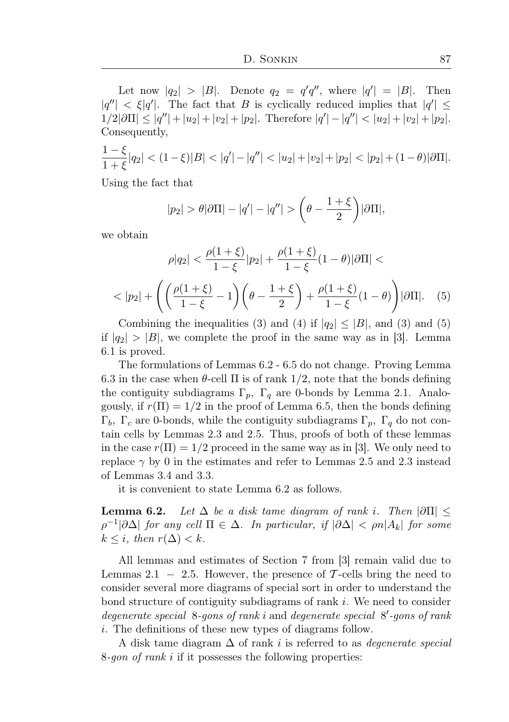Let now  $|q_2| > |B|$ . Denote  $q_2 = q'q''$ , where  $|q'| = |B|$ . Then  $|q''| < \xi |q'|$ . The fact that B is cyclically reduced implies that  $|q'| \leq$  $1/2|\partial\Pi| \le |q''| + |u_2| + |v_2| + |p_2|$ . Therefore  $|q'| - |q''| < |u_2| + |v_2| + |p_2|$ . Consequently,

$$
\frac{1-\xi}{1+\xi}|q_2| < (1-\xi)|B| < |q'| - |q''| < |u_2| + |v_2| + |p_2| < |p_2| + (1-\theta)|\partial\Pi|.
$$

Using the fact that

$$
|p_2| > \theta |\partial \Pi| - |q'| - |q''| > \left(\theta - \frac{1+\xi}{2}\right)|\partial \Pi|,
$$

we obtain

$$
\rho|q_2| < \frac{\rho(1+\xi)}{1-\xi}|p_2| + \frac{\rho(1+\xi)}{1-\xi}(1-\theta)|\partial\Pi| < \\ < |p_2| + \left( \left( \frac{\rho(1+\xi)}{1-\xi} - 1 \right) \left( \theta - \frac{1+\xi}{2} \right) + \frac{\rho(1+\xi)}{1-\xi}(1-\theta) \right) |\partial\Pi|. \tag{5}
$$

Combining the inequalities (3) and (4) if  $|q_2| \leq |B|$ , and (3) and (5) if  $|q_2| > |B|$ , we complete the proof in the same way as in [3]. Lemma 6.1 is proved.

The formulations of Lemmas 6.2 - 6.5 do not change. Proving Lemma 6.3 in the case when  $\theta$ -cell  $\Pi$  is of rank 1/2, note that the bonds defining the contiguity subdiagrams  $\Gamma_p$ ,  $\Gamma_q$  are 0-bonds by Lemma 2.1. Analogously, if  $r(\Pi) = 1/2$  in the proof of Lemma 6.5, then the bonds defining  $\Gamma_b$ ,  $\Gamma_c$  are 0-bonds, while the contiguity subdiagrams  $\Gamma_p$ ,  $\Gamma_q$  do not contain cells by Lemmas 2.3 and 2.5. Thus, proofs of both of these lemmas in the case  $r(\Pi) = 1/2$  proceed in the same way as in [3]. We only need to replace  $\gamma$  by 0 in the estimates and refer to Lemmas 2.5 and 2.3 instead of Lemmas 3.4 and 3.3.

it is convenient to state Lemma 6.2 as follows.

**Lemma 6.2.** Let  $\Delta$  be a disk tame diagram of rank i. Then  $|\partial\Pi|$   $\leq$  $\rho^{-1}|\partial\Delta|$  for any cell  $\Pi \in \Delta$ . In particular, if  $|\partial\Delta| < \rho n|A_k|$  for some  $k \leq i$ , then  $r(\Delta) \leq k$ .

All lemmas and estimates of Section 7 from [3] remain valid due to Lemmas 2.1 – 2.5. However, the presence of  $\mathcal{T}$ -cells bring the need to consider several more diagrams of special sort in order to understand the bond structure of contiguity subdiagrams of rank i. We need to consider degenerate special 8-gons of rank i and degenerate special 8'-gons of rank i. The definitions of these new types of diagrams follow.

A disk tame diagram  $\Delta$  of rank i is referred to as *degenerate special* 8-gon of rank i if it possesses the following properties: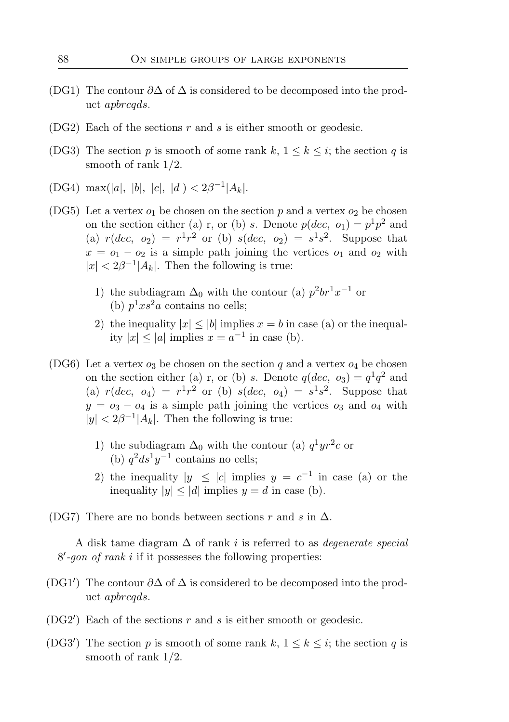- (DG1) The contour  $\partial \Delta$  of  $\Delta$  is considered to be decomposed into the product apbrcqds.
- $(DG2)$  Each of the sections r and s is either smooth or geodesic.
- (DG3) The section p is smooth of some rank k,  $1 \leq k \leq i$ ; the section q is smooth of rank 1/2.
- (DG4) max(|a|, |b|, |c|, |d|) <  $2\beta^{-1}|A_k|$ .
- (DG5) Let a vertex  $o_1$  be chosen on the section p and a vertex  $o_2$  be chosen on the section either (a) r, or (b) s. Denote  $p(dec, o<sub>1</sub>) = p<sup>1</sup>p<sup>2</sup>$  and (a)  $r(dec, o_2) = r^1r^2$  or (b)  $s(dec, o_2) = s^1s^2$ . Suppose that  $x = o_1 - o_2$  is a simple path joining the vertices  $o_1$  and  $o_2$  with  $|x| < 2\beta^{-1}|A_k|$ . Then the following is true:
	- 1) the subdiagram  $\Delta_0$  with the contour (a)  $p^2br^1x^{-1}$  or (b)  $p^1xs^2a$  contains no cells;
	- 2) the inequality  $|x| \le |b|$  implies  $x = b$  in case (a) or the inequality  $|x| \le |a|$  implies  $x = a^{-1}$  in case (b).
- (DG6) Let a vertex  $o_3$  be chosen on the section q and a vertex  $o_4$  be chosen on the section either (a) r, or (b) s. Denote  $q(dec, o_3) = q^1 q^2$  and (a)  $r(dec, o_4) = r^1r^2$  or (b)  $s(dec, o_4) = s^1s^2$ . Suppose that  $y = o_3 - o_4$  is a simple path joining the vertices  $o_3$  and  $o_4$  with  $|y| < 2\beta^{-1}|A_k|$ . Then the following is true:
	- 1) the subdiagram  $\Delta_0$  with the contour (a)  $q^1yr^2c$  or (b)  $q^2 ds^1 y^{-1}$  contains no cells;
	- 2) the inequality  $|y| \leq |c|$  implies  $y = c^{-1}$  in case (a) or the inequality  $|y| \leq |d|$  implies  $y = d$  in case (b).
- (DG7) There are no bonds between sections r and s in  $\Delta$ .

A disk tame diagram  $\Delta$  of rank i is referred to as *degenerate special*  $8'$ -gon of rank i if it possesses the following properties:

- (DG1') The contour  $\partial \Delta$  of  $\Delta$  is considered to be decomposed into the product apbrcqds.
- (DG2<sup> $\prime$ </sup>) Each of the sections  $r$  and  $s$  is either smooth or geodesic.
- (DG3<sup>'</sup>) The section p is smooth of some rank k,  $1 \leq k \leq i$ ; the section q is smooth of rank 1/2.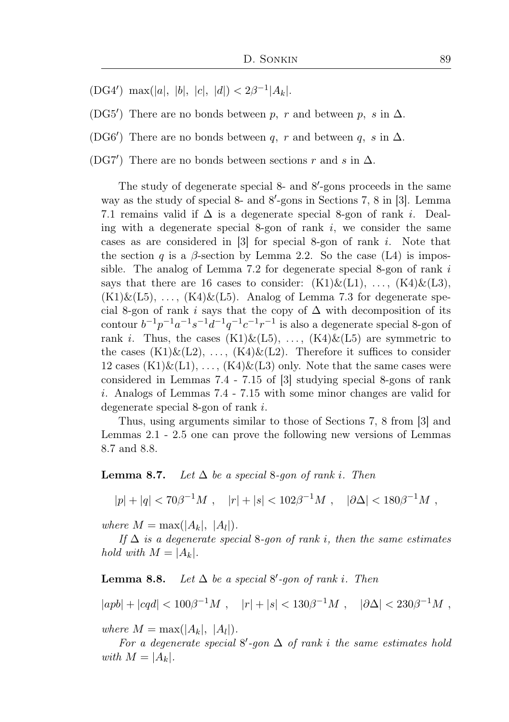- (DG4') max(|a|, |b|, |c|, |d|)  $\langle 2\beta^{-1} | A_k |$ .
- (DG5<sup>'</sup>) There are no bonds between p, r and between p, s in  $\Delta$ .
- (DG6<sup>'</sup>) There are no bonds between q, r and between q, s in  $\Delta$ .

(DG7<sup>'</sup>) There are no bonds between sections  $r$  and  $s$  in  $\Delta$ .

The study of degenerate special 8- and 8'-gons proceeds in the same way as the study of special 8- and 8'-gons in Sections 7, 8 in [3]. Lemma 7.1 remains valid if  $\Delta$  is a degenerate special 8-gon of rank *i*. Dealing with a degenerate special 8-gon of rank  $i$ , we consider the same cases as are considered in [3] for special 8-gon of rank i. Note that the section q is a  $\beta$ -section by Lemma 2.2. So the case (L4) is impossible. The analog of Lemma 7.2 for degenerate special 8-gon of rank i says that there are 16 cases to consider:  $(K1)\&(L1), \ldots, (K4)\&(L3),$  $(K1)\&(L5), \ldots, (K4)\&(L5)$ . Analog of Lemma 7.3 for degenerate special 8-gon of rank i says that the copy of  $\Delta$  with decomposition of its contour  $b^{-1}p^{-1}a^{-1}s^{-1}d^{-1}q^{-1}c^{-1}r^{-1}$  is also a degenerate special 8-gon of rank *i*. Thus, the cases  $(K1)\&(L5), \ldots, (K4)\&(L5)$  are symmetric to the cases  $(K1)\&(L2), \ldots, (K4)\&(L2)$ . Therefore it suffices to consider 12 cases  $(K1)\&(L1), \ldots, (K4)\&(L3)$  only. Note that the same cases were considered in Lemmas 7.4 - 7.15 of [3] studying special 8-gons of rank i. Analogs of Lemmas 7.4 - 7.15 with some minor changes are valid for degenerate special 8-gon of rank i.

Thus, using arguments similar to those of Sections 7, 8 from [3] and Lemmas 2.1 - 2.5 one can prove the following new versions of Lemmas 8.7 and 8.8.

#### **Lemma 8.7.** Let  $\Delta$  be a special 8-gon of rank i. Then

$$
|p|+|q|<70\beta^{-1}M\ ,\quad |r|+|s|<102\beta^{-1}M\ ,\quad |\partial\Delta|<180\beta^{-1}M\ ,
$$

where  $M = \max(|A_k|, |A_l|).$ 

If  $\Delta$  is a degenerate special 8-gon of rank i, then the same estimates hold with  $M = |A_k|$ .

**Lemma 8.8.** Let  $\Delta$  be a special  $8'$ -gon of rank i. Then

$$
|apb|+|cqd|<100\beta^{-1}M\ ,\quad |r|+|s|<130\beta^{-1}M\ ,\quad |\partial\Delta|<230\beta^{-1}M\ ,
$$

where  $M = \max(|A_k|, |A_l|).$ 

For a degenerate special  $8'$ -gon  $\Delta$  of rank i the same estimates hold with  $M = |A_k|$ .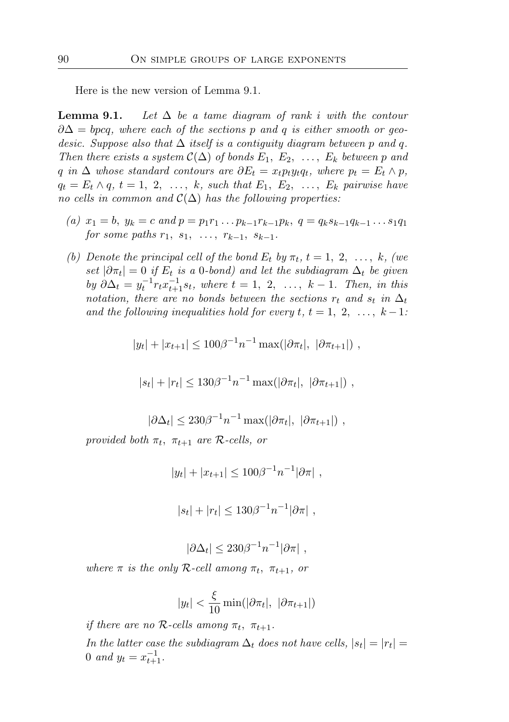Here is the new version of Lemma 9.1.

**Lemma 9.1.** Let  $\Delta$  be a tame diagram of rank i with the contour  $\partial \Delta = bpcq$ , where each of the sections p and q is either smooth or qeodesic. Suppose also that  $\Delta$  itself is a contiguity diagram between p and q. Then there exists a system  $\mathcal{C}(\Delta)$  of bonds  $E_1, E_2, \ldots, E_k$  between p and q in  $\Delta$  whose standard contours are  $\partial E_t = x_t p_t y_t q_t$ , where  $p_t = E_t \wedge p$ ,  $q_t = E_t \wedge q, t = 1, 2, \ldots, k$ , such that  $E_1, E_2, \ldots, E_k$  pairwise have no cells in common and  $\mathcal{C}(\Delta)$  has the following properties:

- (a)  $x_1 = b$ ,  $y_k = c$  and  $p = p_1r_1 \dots p_{k-1}r_{k-1}p_k$ ,  $q = q_ks_{k-1}q_{k-1} \dots s_1q_1$ for some paths  $r_1, s_1, \ldots, r_{k-1}, s_{k-1}.$
- (b) Denote the principal cell of the bond  $E_t$  by  $\pi_t$ ,  $t = 1, 2, \ldots, k$ , (we set  $|\partial \pi_t| = 0$  if  $E_t$  is a 0-bond) and let the subdiagram  $\Delta_t$  be given by  $\partial \Delta_t = y_t^{-1} r_t x_{t+1}^{-1} s_t$ , where  $t = 1, 2, ..., k-1$ . Then, in this notation, there are no bonds between the sections  $r_t$  and  $s_t$  in  $\Delta_t$ and the following inequalities hold for every  $t, t = 1, 2, \ldots, k-1$ :

$$
|y_t| + |x_{t+1}| \le 100\beta^{-1} n^{-1} \max(|\partial \pi_t|, |\partial \pi_{t+1}|),
$$

$$
|s_t| + |r_t| \leq 130\beta^{-1} n^{-1} \max(|\partial \pi_t|, |\partial \pi_{t+1}|),
$$

$$
|\partial \Delta_t| \leq 230 \beta^{-1} n^{-1} \max(|\partial \pi_t|, |\partial \pi_{t+1}|),
$$

provided both  $\pi_t$ ,  $\pi_{t+1}$  are R-cells, or

$$
|y_t| + |x_{t+1}| \le 100\beta^{-1} n^{-1} |\partial \pi| ,
$$

$$
|s_t| + |r_t| \leq 130\beta^{-1} n^{-1} |\partial \pi|
$$
,

$$
|\partial \Delta_t| \leq 230 \beta^{-1} n^{-1} |\partial \pi| ,
$$

where  $\pi$  is the only R-cell among  $\pi_t$ ,  $\pi_{t+1}$ , or

$$
|y_t| < \frac{\xi}{10} \min(|\partial \pi_t|, |\partial \pi_{t+1}|)
$$

if there are no  $\mathcal{R}\text{-cells}$  among  $\pi_t$ ,  $\pi_{t+1}$ . *In the latter case the subdiagram*  $\Delta_t$  *does not have cells,*  $|s_t| = |r_t|$ 0 and  $y_t = x_{t+1}^{-1}$ .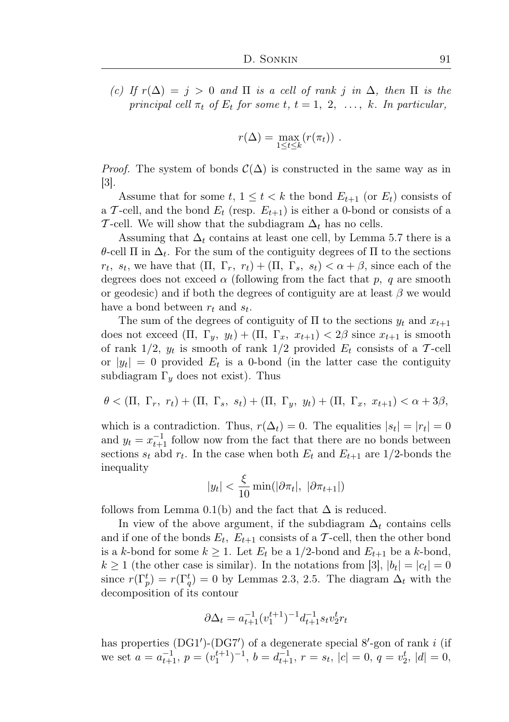(c) If  $r(\Delta) = j > 0$  and  $\Pi$  is a cell of rank j in  $\Delta$ , then  $\Pi$  is the principal cell  $\pi_t$  of  $E_t$  for some t,  $t = 1, 2, \ldots, k$ . In particular,

$$
r(\Delta) = \max_{1 \leq t \leq k} (r(\pi_t)).
$$

*Proof.* The system of bonds  $\mathcal{C}(\Delta)$  is constructed in the same way as in [3].

Assume that for some  $t, 1 \leq t < k$  the bond  $E_{t+1}$  (or  $E_t$ ) consists of a T-cell, and the bond  $E_t$  (resp.  $E_{t+1}$ ) is either a 0-bond or consists of a T-cell. We will show that the subdiagram  $\Delta_t$  has no cells.

Assuming that  $\Delta_t$  contains at least one cell, by Lemma 5.7 there is a θ-cell Π in  $\Delta_t$ . For the sum of the contiguity degrees of Π to the sections  $r_t$ ,  $s_t$ , we have that  $(\Pi, \Gamma_r, r_t) + (\Pi, \Gamma_s, s_t) < \alpha + \beta$ , since each of the degrees does not exceed  $\alpha$  (following from the fact that p, q are smooth or geodesic) and if both the degrees of contiguity are at least  $\beta$  we would have a bond between  $r_t$  and  $s_t$ .

The sum of the degrees of contiguity of  $\Pi$  to the sections  $y_t$  and  $x_{t+1}$ does not exceed  $(\Pi, \Gamma_y, y_t) + (\Pi, \Gamma_x, x_{t+1}) < 2\beta$  since  $x_{t+1}$  is smooth of rank  $1/2$ ,  $y_t$  is smooth of rank  $1/2$  provided  $E_t$  consists of a T-cell or  $|y_t| = 0$  provided  $E_t$  is a 0-bond (in the latter case the contiguity subdiagram  $\Gamma_y$  does not exist). Thus

$$
\theta < (\Pi, \Gamma_r, r_t) + (\Pi, \Gamma_s, s_t) + (\Pi, \Gamma_y, y_t) + (\Pi, \Gamma_x, x_{t+1}) < \alpha + 3\beta,
$$

which is a contradiction. Thus,  $r(\Delta_t) = 0$ . The equalities  $|s_t| = |r_t| = 0$ and  $y_t = x_{t+1}^{-1}$  follow now from the fact that there are no bonds between sections  $s_t$  abd  $r_t$ . In the case when both  $E_t$  and  $E_{t+1}$  are 1/2-bonds the inequality

$$
|y_t| < \frac{\xi}{10} \min(|\partial \pi_t|, |\partial \pi_{t+1}|)
$$

follows from Lemma 0.1(b) and the fact that  $\Delta$  is reduced.

In view of the above argument, if the subdiagram  $\Delta_t$  contains cells and if one of the bonds  $E_t$ ,  $E_{t+1}$  consists of a T-cell, then the other bond is a k-bond for some  $k \geq 1$ . Let  $E_t$  be a 1/2-bond and  $E_{t+1}$  be a k-bond,  $k \geq 1$  (the other case is similar). In the notations from [3],  $|b_t| = |c_t| = 0$ since  $r(\Gamma_p^t) = r(\Gamma_q^t) = 0$  by Lemmas 2.3, 2.5. The diagram  $\Delta_t$  with the decomposition of its contour

$$
\partial \Delta_t = a_{t+1}^{-1} (v_1^{t+1})^{-1} d_{t+1}^{-1} s_t v_2^t r_t
$$

has properties  $(DGI')$ - $(DG7')$  of a degenerate special 8'-gon of rank i (if we set  $a = a_{t+1}^{-1}$ ,  $p = (v_1^{t+1})^{-1}$ ,  $b = d_{t+1}^{-1}$ ,  $r = s_t$ ,  $|c| = 0$ ,  $q = v_2^t$ ,  $|d| = 0$ ,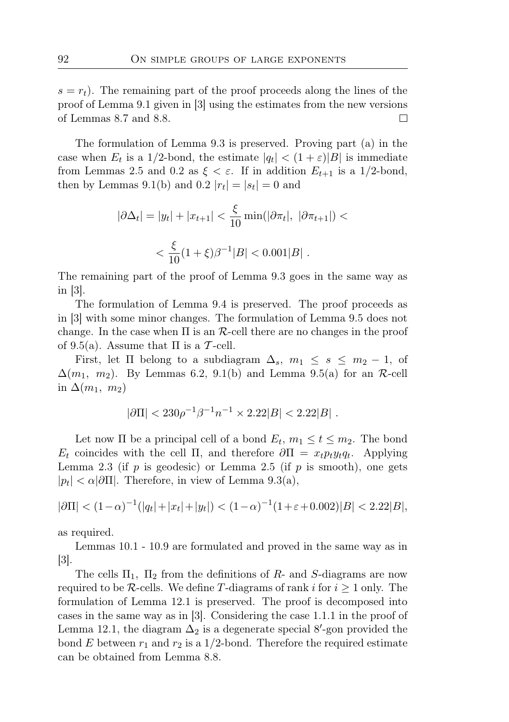$s = r_t$ ). The remaining part of the proof proceeds along the lines of the proof of Lemma 9.1 given in [3] using the estimates from the new versions of Lemmas 8.7 and 8.8.  $\Box$ 

The formulation of Lemma 9.3 is preserved. Proving part (a) in the case when  $E_t$  is a 1/2-bond, the estimate  $|q_t| < (1 + \varepsilon)|B|$  is immediate from Lemmas 2.5 and 0.2 as  $\xi < \varepsilon$ . If in addition  $E_{t+1}$  is a 1/2-bond, then by Lemmas 9.1(b) and 0.2  $|r_t| = |s_t| = 0$  and

$$
|\partial \Delta_t| = |y_t| + |x_{t+1}| < \frac{\xi}{10} \min(|\partial \pi_t|, |\partial \pi_{t+1}|) <
$$
\n
$$
< \frac{\xi}{10} (1 + \xi) \beta^{-1} |B| < 0.001 |B| \, .
$$

The remaining part of the proof of Lemma 9.3 goes in the same way as in [3].

The formulation of Lemma 9.4 is preserved. The proof proceeds as in [3] with some minor changes. The formulation of Lemma 9.5 does not change. In the case when  $\Pi$  is an  $\mathcal{R}$ -cell there are no changes in the proof of 9.5(a). Assume that  $\Pi$  is a T-cell.

First, let  $\Pi$  belong to a subdiagram  $\Delta_s$ ,  $m_1 \leq s \leq m_2 - 1$ , of  $\Delta(m_1, m_2)$ . By Lemmas 6.2, 9.1(b) and Lemma 9.5(a) for an R-cell in  $\Delta(m_1, m_2)$ 

$$
|\partial\Pi| < 230\rho^{-1}\beta^{-1}n^{-1} \times 2.22|B| < 2.22|B|.
$$

Let now  $\Pi$  be a principal cell of a bond  $E_t$ ,  $m_1 \le t \le m_2$ . The bond  $E_t$  coincides with the cell  $\Pi$ , and therefore  $\partial \Pi = x_t p_t y_t q_t$ . Applying Lemma 2.3 (if p is geodesic) or Lemma 2.5 (if p is smooth), one gets  $|p_t| < \alpha |\partial \Pi|$ . Therefore, in view of Lemma 9.3(a),

$$
|\partial\Pi| < (1-\alpha)^{-1}(|q_t| + |x_t| + |y_t|) < (1-\alpha)^{-1}(1+\varepsilon+0.002)|B| < 2.22|B|,
$$

as required.

Lemmas 10.1 - 10.9 are formulated and proved in the same way as in [3].

The cells  $\Pi_1$ ,  $\Pi_2$  from the definitions of R- and S-diagrams are now required to be R-cells. We define T-diagrams of rank i for  $i \geq 1$  only. The formulation of Lemma 12.1 is preserved. The proof is decomposed into cases in the same way as in [3]. Considering the case 1.1.1 in the proof of Lemma 12.1, the diagram  $\Delta_2$  is a degenerate special 8'-gon provided the bond E between  $r_1$  and  $r_2$  is a 1/2-bond. Therefore the required estimate can be obtained from Lemma 8.8.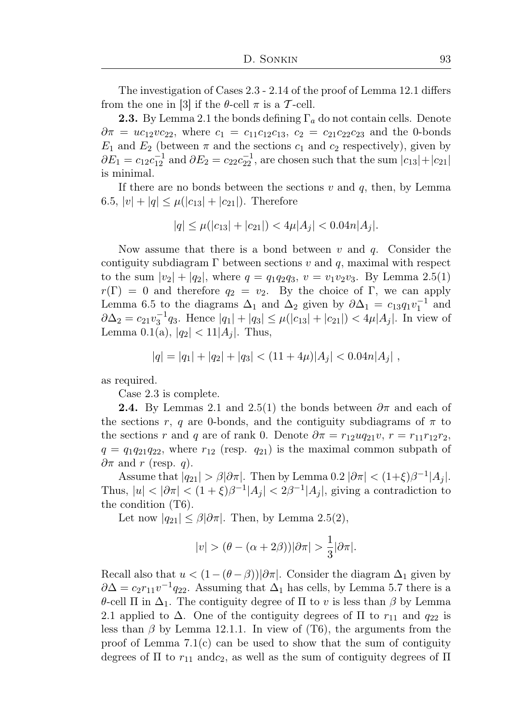The investigation of Cases 2.3 - 2.14 of the proof of Lemma 12.1 differs from the one in [3] if the  $\theta$ -cell  $\pi$  is a T-cell.

**2.3.** By Lemma 2.1 the bonds defining  $\Gamma_a$  do not contain cells. Denote  $\partial \pi = uc_{12}vc_{22}$ , where  $c_1 = c_{11}c_{12}c_{13}$ ,  $c_2 = c_{21}c_{22}c_{23}$  and the 0-bonds  $E_1$  and  $E_2$  (between  $\pi$  and the sections  $c_1$  and  $c_2$  respectively), given by  $\partial E_1 = c_{12}c_{12}^{-1}$  and  $\partial E_2 = c_{22}c_{22}^{-1}$ , are chosen such that the sum  $|c_{13}| + |c_{21}|$ is minimal.

If there are no bonds between the sections  $v$  and  $q$ , then, by Lemma 6.5,  $|v| + |q| \leq \mu(|c_{13}| + |c_{21}|)$ . Therefore

$$
|q| \le \mu(|c_{13}| + |c_{21}|) < 4\mu|A_j| < 0.04n|A_j|.
$$

Now assume that there is a bond between  $v$  and  $q$ . Consider the contiguity subdiagram  $\Gamma$  between sections v and q, maximal with respect to the sum  $|v_2| + |q_2|$ , where  $q = q_1 q_2 q_3$ ,  $v = v_1 v_2 v_3$ . By Lemma 2.5(1)  $r(\Gamma) = 0$  and therefore  $q_2 = v_2$ . By the choice of Γ, we can apply Lemma 6.5 to the diagrams  $\Delta_1$  and  $\Delta_2$  given by  $\partial \Delta_1 = c_{13} q_1 v_1^{-1}$  and  $\partial \Delta_2 = c_{21} v_3^{-1} q_3$ . Hence  $|q_1| + |q_3| \leq \mu(|c_{13}| + |c_{21}|) < 4\mu |A_j|$ . In view of Lemma 0.1(a),  $|q_2|$  < 11| $A_j$ . Thus,

$$
|q| = |q_1| + |q_2| + |q_3| < (11 + 4\mu)|A_j| < 0.04n|A_j| \; ,
$$

as required.

Case 2.3 is complete.

**2.4.** By Lemmas 2.1 and 2.5(1) the bonds between  $\partial \pi$  and each of the sections r, q are 0-bonds, and the contiguity subdiagrams of  $\pi$  to the sections r and q are of rank 0. Denote  $\partial \pi = r_{12}uq_{21}v$ ,  $r = r_{11}r_{12}r_{2}$ ,  $q = q_1q_{21}q_{22}$ , where  $r_{12}$  (resp.  $q_{21}$ ) is the maximal common subpath of  $\partial \pi$  and r (resp. q).

Assume that  $|q_{21}| > \beta |\partial \pi|$ . Then by Lemma 0.2  $|\partial \pi| < (1+\xi)\beta^{-1}|A_j|$ . Thus,  $|u| < |\partial \pi| < (1+\xi)\beta^{-1}|A_j| < 2\beta^{-1}|A_j|$ , giving a contradiction to the condition (T6).

Let now  $|q_{21}| \leq \beta |\partial \pi|$ . Then, by Lemma 2.5(2),

$$
|v| > (\theta - (\alpha + 2\beta))|\partial \pi| > \frac{1}{3}|\partial \pi|.
$$

Recall also that  $u < (1-(\theta-\beta))|\partial \pi|$ . Consider the diagram  $\Delta_1$  given by  $\partial \Delta = c_2 r_{11} v^{-1} q_{22}$ . Assuming that  $\Delta_1$  has cells, by Lemma 5.7 there is a θ-cell Π in  $\Delta_1$ . The contiguity degree of Π to v is less than β by Lemma 2.1 applied to  $\Delta$ . One of the contiguity degrees of  $\Pi$  to  $r_{11}$  and  $q_{22}$  is less than  $\beta$  by Lemma 12.1.1. In view of (T6), the arguments from the proof of Lemma  $7.1(c)$  can be used to show that the sum of contiguity degrees of  $\Pi$  to  $r_{11}$  and  $c_2$ , as well as the sum of contiguity degrees of  $\Pi$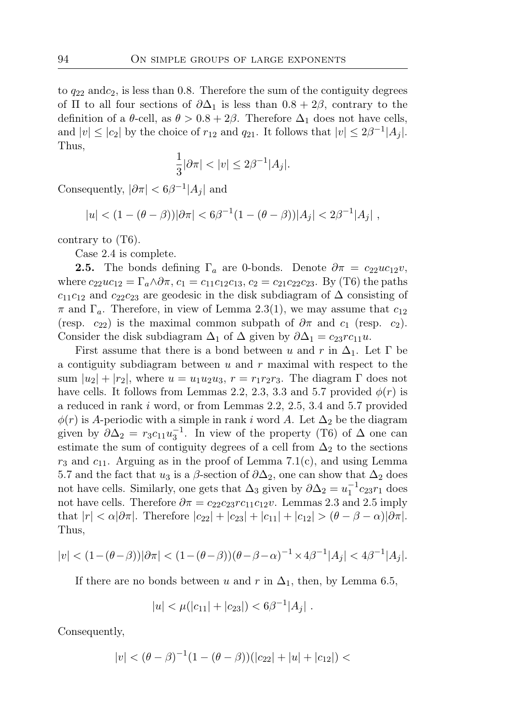to  $q_{22}$  andc<sub>2</sub>, is less than 0.8. Therefore the sum of the contiguity degrees of  $\Pi$  to all four sections of  $\partial \Delta_1$  is less than  $0.8 + 2\beta$ , contrary to the definition of a  $\theta$ -cell, as  $\theta > 0.8 + 2\beta$ . Therefore  $\Delta_1$  does not have cells, and  $|v| \leq |c_2|$  by the choice of  $r_{12}$  and  $q_{21}$ . It follows that  $|v| \leq 2\beta^{-1}|A_j|$ . Thus,

$$
\frac{1}{3}|\partial\pi| < |v| \le 2\beta^{-1}|A_j|.
$$

Consequently,  $|\partial \pi| < 6\beta^{-1}|A_j|$  and

$$
|u| < (1 - (\theta - \beta))|\partial \pi| < 6\beta^{-1}(1 - (\theta - \beta))|A_j| < 2\beta^{-1}|A_j|,
$$

contrary to (T6).

Case 2.4 is complete.

**2.5.** The bonds defining  $\Gamma_a$  are 0-bonds. Denote  $\partial \pi = c_{22}uc_{12}v$ , where  $c_{22}uc_{12} = \Gamma_a \wedge \partial \pi$ ,  $c_1 = c_{11}c_{12}c_{13}$ ,  $c_2 = c_{21}c_{22}c_{23}$ . By (T6) the paths  $c_{11}c_{12}$  and  $c_{22}c_{23}$  are geodesic in the disk subdiagram of  $\Delta$  consisting of  $\pi$  and  $\Gamma_a$ . Therefore, in view of Lemma 2.3(1), we may assume that  $c_{12}$ (resp.  $c_{22}$ ) is the maximal common subpath of  $\partial \pi$  and  $c_1$  (resp.  $c_2$ ). Consider the disk subdiagram  $\Delta_1$  of  $\Delta$  given by  $\partial \Delta_1 = c_{23}rc_{11}u$ .

First assume that there is a bond between u and r in  $\Delta_1$ . Let  $\Gamma$  be a contiguity subdiagram between  $u$  and  $r$  maximal with respect to the sum  $|u_2| + |r_2|$ , where  $u = u_1 u_2 u_3$ ,  $r = r_1 r_2 r_3$ . The diagram  $\Gamma$  does not have cells. It follows from Lemmas 2.2, 2.3, 3.3 and 5.7 provided  $\phi(r)$  is a reduced in rank i word, or from Lemmas 2.2, 2.5, 3.4 and 5.7 provided  $\phi(r)$  is A-periodic with a simple in rank i word A. Let  $\Delta_2$  be the diagram given by  $\partial \Delta_2 = r_3 c_{11} u_3^{-1}$ . In view of the property (T6) of  $\Delta$  one can estimate the sum of contiguity degrees of a cell from  $\Delta_2$  to the sections  $r_3$  and  $c_{11}$ . Arguing as in the proof of Lemma 7.1(c), and using Lemma 5.7 and the fact that  $u_3$  is a  $\beta$ -section of  $\partial \Delta_2$ , one can show that  $\Delta_2$  does not have cells. Similarly, one gets that  $\Delta_3$  given by  $\partial \Delta_2 = u_1^{-1} c_{23} r_1$  does not have cells. Therefore  $\partial \pi = c_{22}c_{23}rc_{11}c_{12}v$ . Lemmas 2.3 and 2.5 imply that  $|r| < \alpha |\partial \pi|$ . Therefore  $|c_{22}| + |c_{23}| + |c_{11}| + |c_{12}| > (\theta - \beta - \alpha)|\partial \pi|$ . Thus,

$$
|v| < (1 - (\theta - \beta))|\partial \pi| < (1 - (\theta - \beta))(\theta - \beta - \alpha)^{-1} \times 4\beta^{-1}|A_j| < 4\beta^{-1}|A_j|.
$$

If there are no bonds between u and r in  $\Delta_1$ , then, by Lemma 6.5,

$$
|u| < \mu(|c_{11}| + |c_{23}|) < 6\beta^{-1}|A_j|.
$$

Consequently,

$$
|v| < (\theta - \beta)^{-1} (1 - (\theta - \beta))(|c_{22}| + |u| + |c_{12}|) <
$$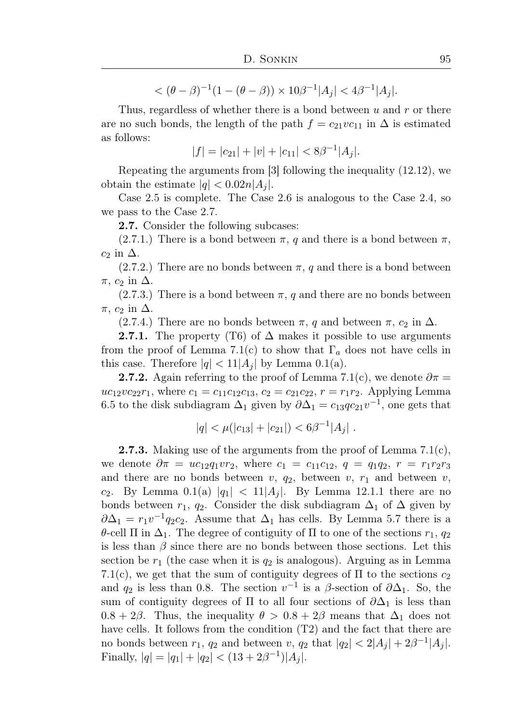$<(\theta - \beta)^{-1}(1 - (\theta - \beta)) \times 10\beta^{-1}|A_j| < 4\beta^{-1}|A_j|.$ 

Thus, regardless of whether there is a bond between  $u$  and  $r$  or there are no such bonds, the length of the path  $f = c_{21}vc_{11}$  in  $\Delta$  is estimated as follows:

$$
|f| = |c_{21}| + |v| + |c_{11}| < 8\beta^{-1} |A_j|.
$$

Repeating the arguments from [3] following the inequality (12.12), we obtain the estimate  $|q| < 0.02n|A_i|$ .

Case 2.5 is complete. The Case 2.6 is analogous to the Case 2.4, so we pass to the Case 2.7.

2.7. Consider the following subcases:

 $(2.7.1.)$  There is a bond between  $\pi$ , q and there is a bond between  $\pi$ ,  $c_2$  in  $\Delta$ .

 $(2.7.2.)$  There are no bonds between  $\pi$ , q and there is a bond between  $\pi$ ,  $c_2$  in  $\Delta$ .

 $(2.7.3.)$  There is a bond between  $\pi$ , q and there are no bonds between  $\pi$ ,  $c_2$  in  $\Delta$ .

(2.7.4.) There are no bonds between  $\pi$ , q and between  $\pi$ ,  $c_2$  in  $\Delta$ .

**2.7.1.** The property (T6) of  $\Delta$  makes it possible to use arguments from the proof of Lemma 7.1(c) to show that  $\Gamma_a$  does not have cells in this case. Therefore  $|q| < 11 |A_i|$  by Lemma 0.1(a).

**2.7.2.** Again referring to the proof of Lemma 7.1(c), we denote  $\partial \pi =$  $uc_{12}vc_{22}r_1$ , where  $c_1 = c_{11}c_{12}c_{13}$ ,  $c_2 = c_{21}c_{22}$ ,  $r = r_1r_2$ . Applying Lemma 6.5 to the disk subdiagram  $\Delta_1$  given by  $\partial \Delta_1 = c_{13}qc_{21}v^{-1}$ , one gets that

$$
|q| < \mu(|c_{13}| + |c_{21}|) < 6\beta^{-1}|A_j|.
$$

**2.7.3.** Making use of the arguments from the proof of Lemma  $7.1(c)$ , we denote  $\partial \pi = uc_{12}q_1vr_2$ , where  $c_1 = c_{11}c_{12}$ ,  $q = q_1q_2$ ,  $r = r_1r_2r_3$ and there are no bonds between  $v, q_2$ , between  $v, r_1$  and between  $v,$  $c_2$ . By Lemma 0.1(a)  $|q_1| < 11 |A_i|$ . By Lemma 12.1.1 there are no bonds between  $r_1$ ,  $q_2$ . Consider the disk subdiagram  $\Delta_1$  of  $\Delta$  given by  $\partial \Delta_1 = r_1 v^{-1} q_2 c_2$ . Assume that  $\Delta_1$  has cells. By Lemma 5.7 there is a θ-cell Π in  $\Delta_1$ . The degree of contiguity of Π to one of the sections  $r_1, q_2$ is less than  $\beta$  since there are no bonds between those sections. Let this section be  $r_1$  (the case when it is  $q_2$  is analogous). Arguing as in Lemma 7.1(c), we get that the sum of contiguity degrees of  $\Pi$  to the sections  $c_2$ and  $q_2$  is less than 0.8. The section  $v^{-1}$  is a  $\beta$ -section of  $\partial \Delta_1$ . So, the sum of contiguity degrees of  $\Pi$  to all four sections of  $\partial \Delta_1$  is less than  $0.8 + 2\beta$ . Thus, the inequality  $\theta > 0.8 + 2\beta$  means that  $\Delta_1$  does not have cells. It follows from the condition  $(T2)$  and the fact that there are no bonds between  $r_1$ ,  $q_2$  and between v,  $q_2$  that  $|q_2| < 2|A_j| + 2\beta^{-1}|A_j|$ . Finally,  $|q| = |q_1| + |q_2| < (13 + 2\beta^{-1})|A_j|$ .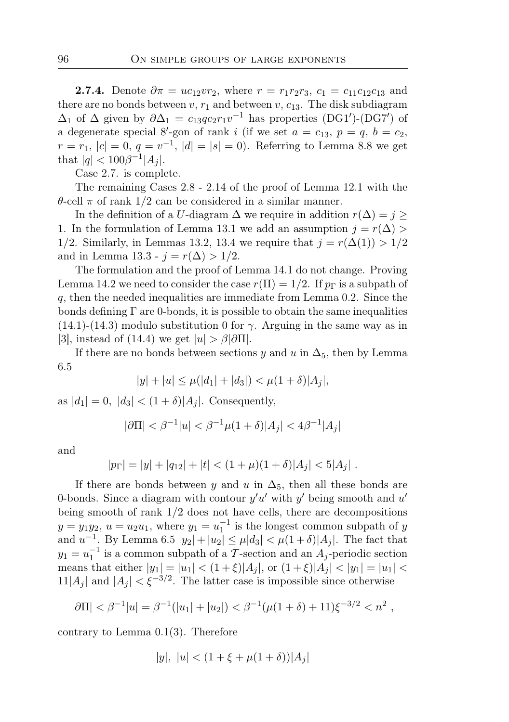**2.7.4.** Denote  $\partial \pi = uc_{12}vr_2$ , where  $r = r_1r_2r_3$ ,  $c_1 = c_{11}c_{12}c_{13}$  and there are no bonds between v,  $r_1$  and between v,  $c_{13}$ . The disk subdiagram  $\Delta_1$  of  $\Delta$  given by  $\partial \Delta_1 = c_{13}qc_2r_1v^{-1}$  has properties (DG1')-(DG7') of a degenerate special 8'-gon of rank i (if we set  $a = c_{13}$ ,  $p = q$ ,  $b = c_2$ ,  $r = r_1, |c| = 0, q = v^{-1}, |d| = |s| = 0$ . Referring to Lemma 8.8 we get that  $|q| < 100\beta^{-1}|A_j|$ .

Case 2.7. is complete.

The remaining Cases 2.8 - 2.14 of the proof of Lemma 12.1 with the θ-cell π of rank 1/2 can be considered in a similar manner.

In the definition of a U-diagram  $\Delta$  we require in addition  $r(\Delta) = j \geq$ 1. In the formulation of Lemma 13.1 we add an assumption  $j = r(\Delta)$ 1/2. Similarly, in Lemmas 13.2, 13.4 we require that  $j = r(\Delta(1)) > 1/2$ and in Lemma 13.3 -  $j = r(\Delta) > 1/2$ .

The formulation and the proof of Lemma 14.1 do not change. Proving Lemma 14.2 we need to consider the case  $r(\Pi) = 1/2$ . If  $p_{\Gamma}$  is a subpath of  $q$ , then the needed inequalities are immediate from Lemma 0.2. Since the bonds defining  $\Gamma$  are 0-bonds, it is possible to obtain the same inequalities (14.1)-(14.3) modulo substitution 0 for  $\gamma$ . Arguing in the same way as in [3], instead of (14.4) we get  $|u| > \beta |\partial \Pi|$ .

If there are no bonds between sections y and u in  $\Delta_5$ , then by Lemma 6.5

$$
|y| + |u| \le \mu(|d_1| + |d_3|) < \mu(1 + \delta)|A_j|,
$$

as  $|d_1| = 0$ ,  $|d_3| < (1 + \delta)|A_i|$ . Consequently,

$$
|\partial\Pi| < \beta^{-1}|u| < \beta^{-1}\mu(1+\delta)|A_j| < 4\beta^{-1}|A_j|
$$

and

$$
|p_{\Gamma}| = |y| + |q_{12}| + |t| < (1 + \mu)(1 + \delta)|A_j| < 5|A_j| \,.
$$

If there are bonds between y and u in  $\Delta_5$ , then all these bonds are 0-bonds. Since a diagram with contour  $y'u'$  with  $y'$  being smooth and  $u'$ being smooth of rank 1/2 does not have cells, there are decompositions  $y = y_1y_2$ ,  $u = u_2u_1$ , where  $y_1 = u_1^{-1}$  is the longest common subpath of y and  $u^{-1}$ . By Lemma 6.5  $|y_2| + |u_2| \leq \mu |d_3| < \mu (1 + \delta) |A_j|$ . The fact that  $y_1 = u_1^{-1}$  is a common subpath of a T-section and an  $A_j$ -periodic section means that either  $|y_1| = |u_1| < (1+\xi)|A_i|$ , or  $(1+\xi)|A_i| < |y_1| = |u_1|$  $11|A_j|$  and  $|A_j| < \xi^{-3/2}$ . The latter case is impossible since otherwise

$$
|\partial\Pi| < \beta^{-1}|u| = \beta^{-1}(|u_1| + |u_2|) < \beta^{-1}(\mu(1+\delta) + 11)\xi^{-3/2} < n^2,
$$

contrary to Lemma 0.1(3). Therefore

$$
|y|, |u| < (1 + \xi + \mu(1 + \delta))|A_j|
$$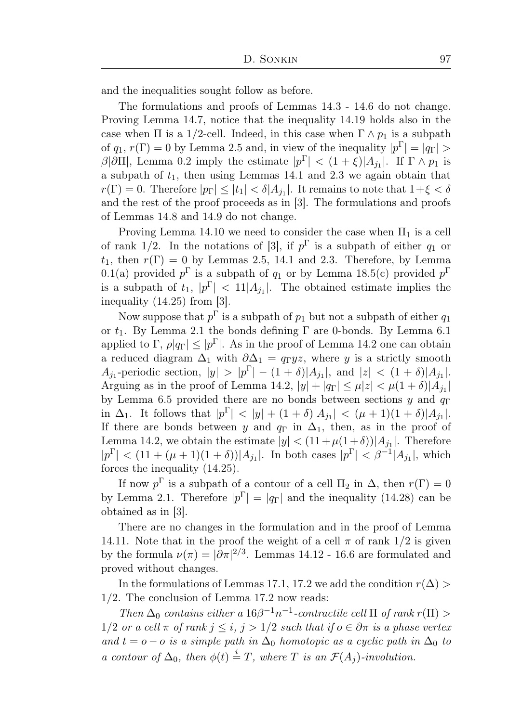and the inequalities sought follow as before.

The formulations and proofs of Lemmas 14.3 - 14.6 do not change. Proving Lemma 14.7, notice that the inequality 14.19 holds also in the case when  $\Pi$  is a 1/2-cell. Indeed, in this case when  $\Gamma \wedge p_1$  is a subpath of  $q_1, r(\Gamma) = 0$  by Lemma 2.5 and, in view of the inequality  $|p^{\Gamma}| = |q_{\Gamma}| >$ β|∂Π|, Lemma 0.2 imply the estimate  $|p^{\Gamma}| < (1+\xi)|A_{j_1}|$ . If  $\Gamma \wedge p_1$  is a subpath of  $t_1$ , then using Lemmas 14.1 and 2.3 we again obtain that  $r(\Gamma) = 0$ . Therefore  $|p_{\Gamma}| \leq |t_1| < \delta |A_{j_1}|$ . It remains to note that  $1 + \xi < \delta$ and the rest of the proof proceeds as in [3]. The formulations and proofs of Lemmas 14.8 and 14.9 do not change.

Proving Lemma 14.10 we need to consider the case when  $\Pi_1$  is a cell of rank 1/2. In the notations of [3], if  $p^{\Gamma}$  is a subpath of either  $q_1$  or  $t_1$ , then  $r(\Gamma) = 0$  by Lemmas 2.5, 14.1 and 2.3. Therefore, by Lemma 0.1(a) provided  $p^{\Gamma}$  is a subpath of  $q_1$  or by Lemma 18.5(c) provided  $p^{\Gamma}$ is a subpath of  $t_1, |p^{\Gamma}| < 11 |A_{j_1}|$ . The obtained estimate implies the inequality (14.25) from [3].

Now suppose that  $p^{\Gamma}$  is a subpath of  $p_1$  but not a subpath of either  $q_1$ or  $t_1$ . By Lemma 2.1 the bonds defining  $\Gamma$  are 0-bonds. By Lemma 6.1 applied to  $\Gamma$ ,  $\rho |q_{\Gamma}| \leq |p^{\Gamma}|$ . As in the proof of Lemma 14.2 one can obtain a reduced diagram  $\Delta_1$  with  $\partial \Delta_1 = q_{\Gamma} yz$ , where y is a strictly smooth  $A_{j_1}$ -periodic section,  $|y| > |p^{\Gamma}| - (1 + \delta)|A_{j_1}|$ , and  $|z| < (1 + \delta)|A_{j_1}|$ . Arguing as in the proof of Lemma 14.2,  $|y| + |q_{\Gamma}| \leq \mu |z| < \mu(1+\delta)|A_{j_1}|$ by Lemma 6.5 provided there are no bonds between sections  $y$  and  $q_{\Gamma}$ in  $\Delta_1$ . It follows that  $|p^{\Gamma}| < |y| + (1 + \delta)|A_{j_1}| < (\mu + 1)(1 + \delta)|A_{j_1}|$ . If there are bonds between y and  $q_{\Gamma}$  in  $\Delta_1$ , then, as in the proof of Lemma 14.2, we obtain the estimate  $|y| < (11 + \mu(1+\delta))|A_{j_1}|$ . Therefore  $|p^{\Gamma}| < (11 + (\mu + 1)(1 + \delta))|A_{j_1}|$ . In both cases  $|p^{\Gamma}| < \beta^{-1}|A_{j_1}|$ , which forces the inequality (14.25).

If now  $p^{\Gamma}$  is a subpath of a contour of a cell  $\Pi_2$  in  $\Delta$ , then  $r(\Gamma) = 0$ by Lemma 2.1. Therefore  $|p^{\Gamma}| = |q_{\Gamma}|$  and the inequality (14.28) can be obtained as in [3].

There are no changes in the formulation and in the proof of Lemma 14.11. Note that in the proof the weight of a cell  $\pi$  of rank  $1/2$  is given by the formula  $\nu(\pi) = |\partial \pi|^{2/3}$ . Lemmas 14.12 - 16.6 are formulated and proved without changes.

In the formulations of Lemmas 17.1, 17.2 we add the condition  $r(\Delta)$ 1/2. The conclusion of Lemma 17.2 now reads:

Then  $\Delta_0$  contains either a  $16\beta^{-1}n^{-1}$ -contractile cell  $\Pi$  of rank  $r(\Pi)$  >  $1/2$  or a cell  $\pi$  of rank  $j \leq i$ ,  $j > 1/2$  such that if  $o \in \partial \pi$  is a phase vertex and  $t = o - o$  is a simple path in  $\Delta_0$  homotopic as a cyclic path in  $\Delta_0$  to a contour of  $\Delta_0$ , then  $\phi(t) \stackrel{i}{=} T$ , where T is an  $\mathcal{F}(A_j)$ -involution.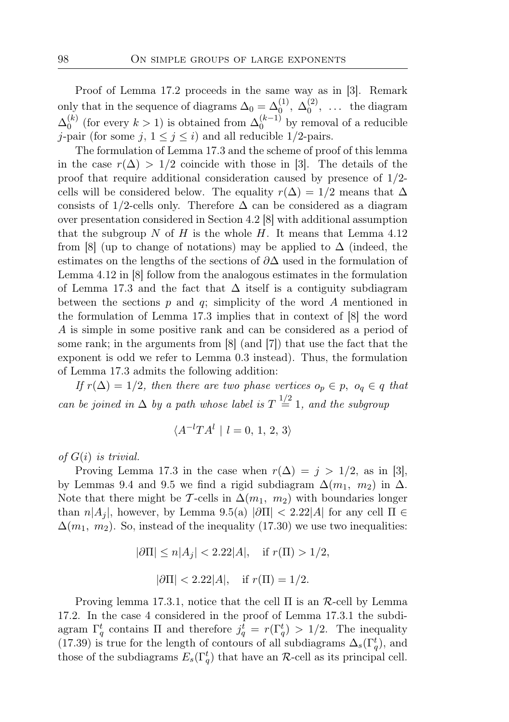Proof of Lemma 17.2 proceeds in the same way as in [3]. Remark only that in the sequence of diagrams  $\Delta_0 = \Delta_0^{(1)}$ ,  $\Delta_0^{(2)}$  $\binom{2}{0}$ , ... the diagram  $\Delta _0^{(k)}$  $\binom{k}{0}$  (for every  $k > 1$ ) is obtained from  $\Delta_0^{(k-1)}$  $\binom{k-1}{0}$  by removal of a reducible *j*-pair (for some *j*,  $1 \leq j \leq i$ ) and all reducible 1/2-pairs.

The formulation of Lemma 17.3 and the scheme of proof of this lemma in the case  $r(\Delta) > 1/2$  coincide with those in [3]. The details of the proof that require additional consideration caused by presence of 1/2 cells will be considered below. The equality  $r(\Delta) = 1/2$  means that  $\Delta$ consists of 1/2-cells only. Therefore  $\Delta$  can be considered as a diagram over presentation considered in Section 4.2 [8] with additional assumption that the subgroup N of H is the whole H. It means that Lemma  $4.12$ from [8] (up to change of notations) may be applied to  $\Delta$  (indeed, the estimates on the lengths of the sections of ∂∆ used in the formulation of Lemma 4.12 in [8] follow from the analogous estimates in the formulation of Lemma 17.3 and the fact that  $\Delta$  itself is a contiguity subdiagram between the sections  $p$  and  $q$ ; simplicity of the word  $A$  mentioned in the formulation of Lemma 17.3 implies that in context of [8] the word A is simple in some positive rank and can be considered as a period of some rank; in the arguments from [8] (and [7]) that use the fact that the exponent is odd we refer to Lemma 0.3 instead). Thus, the formulation of Lemma 17.3 admits the following addition:

If  $r(\Delta) = 1/2$ , then there are two phase vertices  $o_p \in p$ ,  $o_q \in q$  that can be joined in  $\Delta$  by a path whose label is  $T \stackrel{1/2}{=} 1$ , and the subgroup

$$
\langle A^{-l}T A^l \mid l=0, 1, 2, 3 \rangle
$$

of  $G(i)$  is trivial.

Proving Lemma 17.3 in the case when  $r(\Delta) = j > 1/2$ , as in [3], by Lemmas 9.4 and 9.5 we find a rigid subdiagram  $\Delta(m_1, m_2)$  in  $\Delta$ . Note that there might be T-cells in  $\Delta(m_1, m_2)$  with boundaries longer than  $n|A_i|$ , however, by Lemma 9.5(a)  $|\partial\Pi| < 2.22|A|$  for any cell  $\Pi \in$  $\Delta(m_1, m_2)$ . So, instead of the inequality (17.30) we use two inequalities:

$$
|\partial \Pi| \le n|A_j| < 2.22|A|, \quad \text{if } r(\Pi) > 1/2,
$$
\n
$$
|\partial \Pi| < 2.22|A|, \quad \text{if } r(\Pi) = 1/2.
$$

Proving lemma 17.3.1, notice that the cell  $\Pi$  is an  $\mathcal{R}$ -cell by Lemma 17.2. In the case 4 considered in the proof of Lemma 17.3.1 the subdiagram  $\Gamma_q^t$  contains  $\Pi$  and therefore  $j_q^t = r(\Gamma_q^t) > 1/2$ . The inequality (17.39) is true for the length of contours of all subdiagrams  $\Delta_s(\Gamma_q^t)$ , and those of the subdiagrams  $E_s(\Gamma_q^t)$  that have an R-cell as its principal cell.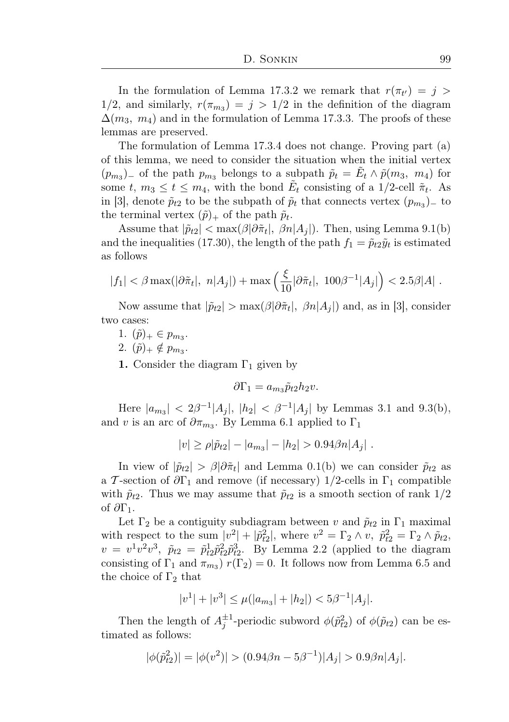In the formulation of Lemma 17.3.2 we remark that  $r(\pi_{t'}) = j$ 1/2, and similarly,  $r(\pi_{m_3}) = j > 1/2$  in the definition of the diagram  $\Delta(m_3, m_4)$  and in the formulation of Lemma 17.3.3. The proofs of these lemmas are preserved.

The formulation of Lemma 17.3.4 does not change. Proving part (a) of this lemma, we need to consider the situation when the initial vertex  $(p_{m_3})$  of the path  $p_{m_3}$  belongs to a subpath  $\tilde{p}_t = \tilde{E}_t \wedge \tilde{p}(m_3, m_4)$  for some  $t, m_3 \le t \le m_4$ , with the bond  $\tilde{E}_t$  consisting of a 1/2-cell  $\tilde{\pi}_t$ . As in [3], denote  $\tilde{p}_{t2}$  to be the subpath of  $\tilde{p}_t$  that connects vertex  $(p_{m3})$  to the terminal vertex  $(\tilde{p})_+$  of the path  $\tilde{p}_t$ .

Assume that  $|\tilde{p}_{t2}| < \max(\beta |\partial \tilde{\pi}_t|, \beta n |A_j|)$ . Then, using Lemma 9.1(b) and the inequalities (17.30), the length of the path  $f_1 = \tilde{p}_t 2\tilde{y}_t$  is estimated as follows

$$
|f_1| < \beta \max(|\partial \tilde{\pi}_t|, n|A_j|) + \max\left(\frac{\xi}{10}|\partial \tilde{\pi}_t|, 100\beta^{-1}|A_j|\right) < 2.5\beta|A|.
$$

Now assume that  $|\tilde{p}_{t2}| > \max(\beta |\partial \tilde{\pi}_t|, \beta n |A_j|)$  and, as in [3], consider two cases:

- 1.  $(\tilde{p})_+ \in p_{m_3}$ .
- 2.  $(\tilde{p})_+ \notin p_{m_3}$ .
- 1. Consider the diagram  $\Gamma_1$  given by

$$
\partial \Gamma_1 = a_{m_3} \tilde{p}_{t2} h_2 v.
$$

Here  $|a_{m_3}| < 2\beta^{-1}|A_j|, |h_2| < \beta^{-1}|A_j|$  by Lemmas 3.1 and 9.3(b), and v is an arc of  $\partial \pi_{m_3}$ . By Lemma 6.1 applied to  $\Gamma_1$ 

$$
|v| \ge \rho |\tilde{p}_{t2}| - |a_{m_3}| - |h_2| > 0.94 \beta n |A_j|.
$$

In view of  $|\tilde{p}_{t2}| > \beta |\partial \tilde{\pi}_t|$  and Lemma 0.1(b) we can consider  $\tilde{p}_{t2}$  as a T-section of  $\partial \Gamma_1$  and remove (if necessary) 1/2-cells in  $\Gamma_1$  compatible with  $\tilde{p}_{t2}$ . Thus we may assume that  $\tilde{p}_{t2}$  is a smooth section of rank  $1/2$ of  $\partial$ Γ<sub>1</sub>.

Let  $\Gamma_2$  be a contiguity subdiagram between v and  $\tilde{p}_{t2}$  in  $\Gamma_1$  maximal with respect to the sum  $|v^2| + |\tilde{p}_t^2|$ , where  $v^2 = \Gamma_2 \wedge v$ ,  $\tilde{p}_{t2}^2 = \Gamma_2 \wedge \tilde{p}_{t2}$ ,  $v = v^1 v^2 v^3$ ,  $\tilde{p}_{t2} = \tilde{p}_{t2}^1 \tilde{p}_{t2}^2 \tilde{p}_{t2}^3$ . By Lemma 2.2 (applied to the diagram consisting of  $\Gamma_1$  and  $\pi_{m_3}$ )  $r(\Gamma_2) = 0$ . It follows now from Lemma 6.5 and the choice of  $\Gamma_2$  that

$$
|v^1| + |v^3| \le \mu(|a_{m_3}| + |h_2|) < 5\beta^{-1}|A_j|.
$$

Then the length of  $A_j^{\pm 1}$ -periodic subword  $\phi(\tilde{p}_{t2}^2)$  of  $\phi(\tilde{p}_{t2})$  can be estimated as follows:

$$
|\phi(\tilde{p}_{t2}^2)| = |\phi(v^2)| > (0.94\beta n - 5\beta^{-1})|A_j| > 0.9\beta n|A_j|.
$$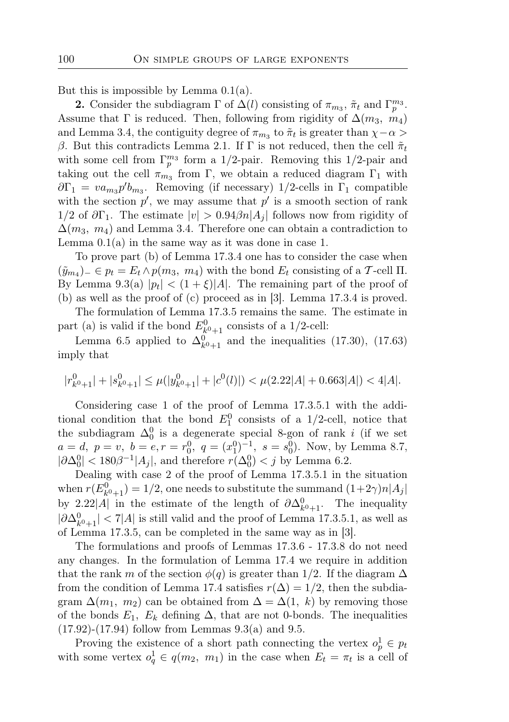But this is impossible by Lemma  $0.1(a)$ .

**2.** Consider the subdiagram  $\Gamma$  of  $\Delta(l)$  consisting of  $\pi_{m_3}$ ,  $\tilde{\pi}_t$  and  $\Gamma_p^{m_3}$ . Assume that  $\Gamma$  is reduced. Then, following from rigidity of  $\Delta(m_3, m_4)$ and Lemma 3.4, the contiguity degree of  $\pi_{m_3}$  to  $\tilde{\pi}_t$  is greater than  $\chi - \alpha$ β. But this contradicts Lemma 2.1. If Γ is not reduced, then the cell  $\tilde{\pi}_t$ with some cell from  $\Gamma_p^{m_3}$  form a 1/2-pair. Removing this 1/2-pair and taking out the cell  $\pi_{m_3}$  from  $\Gamma$ , we obtain a reduced diagram  $\Gamma_1$  with  $\partial \Gamma_1 = \nu a_{m_3} p' b_{m_3}$ . Removing (if necessary) 1/2-cells in  $\Gamma_1$  compatible with the section  $p'$ , we may assume that  $p'$  is a smooth section of rank  $1/2$  of  $\partial \Gamma_1$ . The estimate  $|v| > 0.94 \beta n |A_i|$  follows now from rigidity of  $\Delta(m_3, m_4)$  and Lemma 3.4. Therefore one can obtain a contradiction to Lemma  $0.1(a)$  in the same way as it was done in case 1.

To prove part (b) of Lemma 17.3.4 one has to consider the case when  $(\tilde{y}_{m_4})_-\in p_t=E_t\wedge p(m_3, m_4)$  with the bond  $E_t$  consisting of a T-cell II. By Lemma 9.3(a)  $|p_t| < (1 + \xi)|A|$ . The remaining part of the proof of (b) as well as the proof of (c) proceed as in [3]. Lemma 17.3.4 is proved.

The formulation of Lemma 17.3.5 remains the same. The estimate in part (a) is valid if the bond  $E_{k^0+1}^0$  consists of a 1/2-cell:

Lemma 6.5 applied to  $\Delta_{k^0+1}^0$  and the inequalities (17.30), (17.63) imply that

$$
|r_{k^0+1}^0| + |s_{k^0+1}^0| \le \mu(|y_{k^0+1}^0| + |c^0(l)|) < \mu(2.22|A| + 0.663|A|) < 4|A|.
$$

Considering case 1 of the proof of Lemma 17.3.5.1 with the additional condition that the bond  $E_1^0$  consists of a 1/2-cell, notice that the subdiagram  $\Delta_0^0$  is a degenerate special 8-gon of rank i (if we set  $a = d, p = v, b = e, r = r_0^0, q = (x_1^0)^{-1}, s = s_0^0$ . Now, by Lemma 8.7,  $|\partial \Delta_0^0| < 180\beta^{-1}|A_j|$ , and therefore  $r(\Delta_0^0) < j$  by Lemma 6.2.

Dealing with case 2 of the proof of Lemma 17.3.5.1 in the situation when  $r(E_{k^0+1}^0) = 1/2$ , one needs to substitute the summand  $(1+2\gamma)n|A_j|$ by 2.22|A| in the estimate of the length of  $\partial \Delta_{k^0+1}^0$ . The inequality  $|\partial \Delta_{k^0+1}^0| < 7|A|$  is still valid and the proof of Lemma 17.3.5.1, as well as of Lemma 17.3.5, can be completed in the same way as in [3].

The formulations and proofs of Lemmas 17.3.6 - 17.3.8 do not need any changes. In the formulation of Lemma 17.4 we require in addition that the rank m of the section  $\phi(q)$  is greater than 1/2. If the diagram  $\Delta$ from the condition of Lemma 17.4 satisfies  $r(\Delta) = 1/2$ , then the subdiagram  $\Delta(m_1, m_2)$  can be obtained from  $\Delta = \Delta(1, k)$  by removing those of the bonds  $E_1$ ,  $E_k$  defining  $\Delta$ , that are not 0-bonds. The inequalities  $(17.92)-(17.94)$  follow from Lemmas  $9.3(a)$  and  $9.5$ .

Proving the existence of a short path connecting the vertex  $o_p^1 \in p_t$ with some vertex  $o_q^1 \in q(m_2, m_1)$  in the case when  $E_t = \pi_t$  is a cell of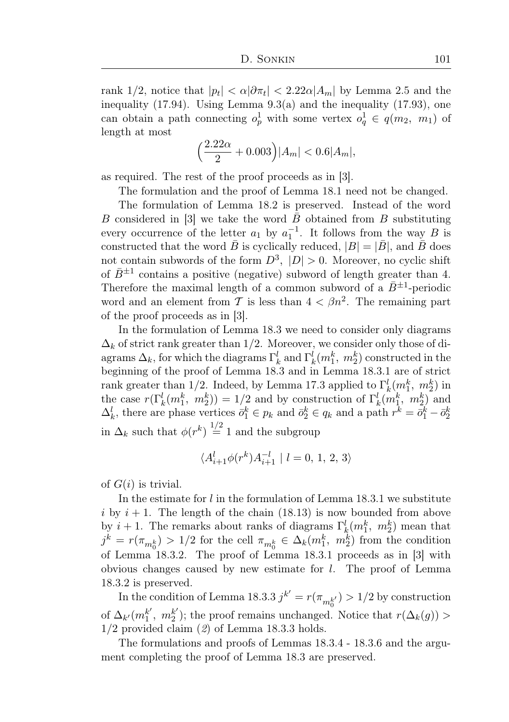rank 1/2, notice that  $|p_t| < \alpha |\partial \pi_t| < 2.22 \alpha |A_m|$  by Lemma 2.5 and the inequality (17.94). Using Lemma 9.3(a) and the inequality (17.93), one can obtain a path connecting  $o_p^1$  with some vertex  $o_q^1 \in q(m_2, m_1)$  of length at most

$$
\left(\frac{2.22\alpha}{2} + 0.003\right)|A_m| < 0.6|A_m|,
$$

as required. The rest of the proof proceeds as in [3].

The formulation and the proof of Lemma 18.1 need not be changed.

The formulation of Lemma 18.2 is preserved. Instead of the word B considered in [3] we take the word  $\bar{B}$  obtained from B substituting every occurrence of the letter  $a_1$  by  $a_1^{-1}$ . It follows from the way B is constructed that the word  $\bar{B}$  is cyclically reduced,  $|B| = |\bar{B}|$ , and  $\bar{B}$  does not contain subwords of the form  $D^3$ ,  $|D| > 0$ . Moreover, no cyclic shift of  $\bar{B}^{\pm 1}$  contains a positive (negative) subword of length greater than 4. Therefore the maximal length of a common subword of a  $\bar{B}^{\pm 1}$ -periodic word and an element from T is less than  $4 < \beta n^2$ . The remaining part of the proof proceeds as in [3].

In the formulation of Lemma 18.3 we need to consider only diagrams  $\Delta_k$  of strict rank greater than 1/2. Moreover, we consider only those of diagrams  $\Delta_k$ , for which the diagrams  $\Gamma_k^l$  and  $\Gamma_k^l(m_1^k, m_2^k)$  constructed in the beginning of the proof of Lemma 18.3 and in Lemma 18.3.1 are of strict rank greater than 1/2. Indeed, by Lemma 17.3 applied to  $\Gamma_k^l(m_1^k, m_2^k)$  in the case  $r(\Gamma_k^l(m_1^k, m_2^k)) = 1/2$  and by construction of  $\Gamma_k^l(m_1^k, m_2^k)$  and  $\Delta_k^l$ , there are phase vertices  $\bar{o}_1^k \in p_k$  and  $\bar{o}_2^k \in q_k$  and a path  $r^k = \bar{o}_1^k - \bar{o}_2^k$ in  $\Delta_k$  such that  $\phi(r^k) \stackrel{1/2}{=} 1$  and the subgroup

$$
\langle A_{i+1}^l \phi(r^k) A_{i+1}^{-l} \ | \ l=0,\,1,\,2,\,3 \rangle
$$

of  $G(i)$  is trivial.

In the estimate for  $l$  in the formulation of Lemma 18.3.1 we substitute i by  $i + 1$ . The length of the chain (18.13) is now bounded from above by  $i + 1$ . The remarks about ranks of diagrams  $\Gamma_k^l(m_1^k, m_2^k)$  mean that  $j^k = r(\pi_{m_0^k}) > 1/2$  for the cell  $\pi_{m_0^k} \in \Delta_k(m_1^k, m_2^k)$  from the condition of Lemma 18.3.2. The proof of Lemma 18.3.1 proceeds as in [3] with obvious changes caused by new estimate for l. The proof of Lemma 18.3.2 is preserved.

In the condition of Lemma 18.3.3  $j^{k'} = r(\pi_{m_0^{k'}}) > 1/2$  by construction of  $\Delta_{k'} (m_1^{k'} )$  $_{1}^{k'}, m_{2}^{k'}$  $2^{k'}$ ; the proof remains unchanged. Notice that  $r(\Delta_k(g))$ 1/2 provided claim (2) of Lemma 18.3.3 holds.

The formulations and proofs of Lemmas 18.3.4 - 18.3.6 and the argument completing the proof of Lemma 18.3 are preserved.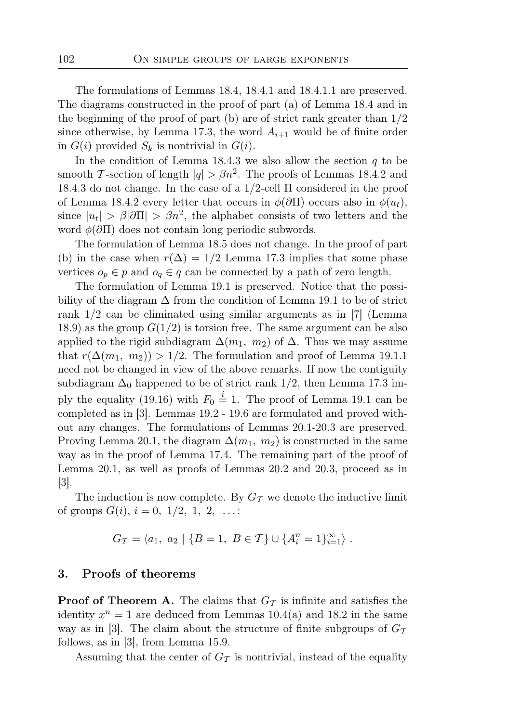The formulations of Lemmas 18.4, 18.4.1 and 18.4.1.1 are preserved. The diagrams constructed in the proof of part (a) of Lemma 18.4 and in the beginning of the proof of part (b) are of strict rank greater than  $1/2$ since otherwise, by Lemma 17.3, the word  $A_{i+1}$  would be of finite order in  $G(i)$  provided  $S_k$  is nontrivial in  $G(i)$ .

In the condition of Lemma 18.4.3 we also allow the section  $q$  to be smooth T-section of length  $|q| > \beta n^2$ . The proofs of Lemmas 18.4.2 and 18.4.3 do not change. In the case of a  $1/2$ -cell  $\Pi$  considered in the proof of Lemma 18.4.2 every letter that occurs in  $\phi(\partial \Pi)$  occurs also in  $\phi(u_t)$ , since  $|u_t| > \beta |\partial \Pi| > \beta n^2$ , the alphabet consists of two letters and the word  $\phi(\partial \Pi)$  does not contain long periodic subwords.

The formulation of Lemma 18.5 does not change. In the proof of part (b) in the case when  $r(\Delta) = 1/2$  Lemma 17.3 implies that some phase vertices  $o_p \in p$  and  $o_q \in q$  can be connected by a path of zero length.

The formulation of Lemma 19.1 is preserved. Notice that the possibility of the diagram  $\Delta$  from the condition of Lemma 19.1 to be of strict rank 1/2 can be eliminated using similar arguments as in [7] (Lemma 18.9) as the group  $G(1/2)$  is torsion free. The same argument can be also applied to the rigid subdiagram  $\Delta(m_1, m_2)$  of  $\Delta$ . Thus we may assume that  $r(\Delta(m_1, m_2)) > 1/2$ . The formulation and proof of Lemma 19.1.1 need not be changed in view of the above remarks. If now the contiguity subdiagram  $\Delta_0$  happened to be of strict rank 1/2, then Lemma 17.3 imply the equality (19.16) with  $F_0 \stackrel{i}{=} 1$ . The proof of Lemma 19.1 can be completed as in [3]. Lemmas 19.2 - 19.6 are formulated and proved without any changes. The formulations of Lemmas 20.1-20.3 are preserved. Proving Lemma 20.1, the diagram  $\Delta(m_1, m_2)$  is constructed in the same way as in the proof of Lemma 17.4. The remaining part of the proof of Lemma 20.1, as well as proofs of Lemmas 20.2 and 20.3, proceed as in [3].

The induction is now complete. By  $G_{\mathcal{T}}$  we denote the inductive limit of groups  $G(i)$ ,  $i = 0, 1/2, 1, 2, ...$ 

$$
G_{\mathcal{T}} = \langle a_1, a_2 | \{B = 1, B \in \mathcal{T}\} \cup \{A_i^n = 1\}_{i=1}^{\infty} \rangle.
$$

#### 3. Proofs of theorems

**Proof of Theorem A.** The claims that  $G_T$  is infinite and satisfies the identity  $x^n = 1$  are deduced from Lemmas 10.4(a) and 18.2 in the same way as in [3]. The claim about the structure of finite subgroups of  $G_{\mathcal{T}}$ follows, as in [3], from Lemma 15.9.

Assuming that the center of  $G<sub>T</sub>$  is nontrivial, instead of the equality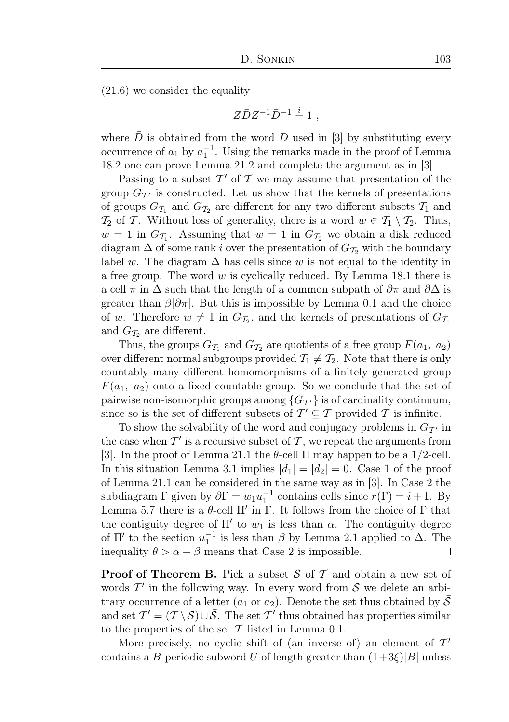(21.6) we consider the equality

$$
Z\bar{D}Z^{-1}\bar{D}^{-1} \stackrel{i}{=} 1 ,
$$

where  $\bar{D}$  is obtained from the word D used in [3] by substituting every occurrence of  $a_1$  by  $a_1^{-1}$ . Using the remarks made in the proof of Lemma 18.2 one can prove Lemma 21.2 and complete the argument as in [3].

Passing to a subset  $\mathcal{T}'$  of  $\mathcal T$  we may assume that presentation of the group  $G_{\mathcal{T}'}$  is constructed. Let us show that the kernels of presentations of groups  $G_{\mathcal{T}_1}$  and  $G_{\mathcal{T}_2}$  are different for any two different subsets  $\mathcal{T}_1$  and  $\mathcal{T}_2$  of T. Without loss of generality, there is a word  $w \in \mathcal{T}_1 \setminus \mathcal{T}_2$ . Thus,  $w = 1$  in  $G_{\mathcal{T}_1}$ . Assuming that  $w = 1$  in  $G_{\mathcal{T}_2}$  we obtain a disk reduced diagram  $\Delta$  of some rank i over the presentation of  $G_{\mathcal{I}_2}$  with the boundary label w. The diagram  $\Delta$  has cells since w is not equal to the identity in a free group. The word  $w$  is cyclically reduced. By Lemma 18.1 there is a cell  $\pi$  in  $\Delta$  such that the length of a common subpath of  $\partial \pi$  and  $\partial \Delta$  is greater than  $\beta|\partial\pi|$ . But this is impossible by Lemma 0.1 and the choice of w. Therefore  $w \neq 1$  in  $G_{\mathcal{I}_2}$ , and the kernels of presentations of  $G_{\mathcal{I}_1}$ and  $G_{\mathcal{T}_2}$  are different.

Thus, the groups  $G_{\mathcal{T}_1}$  and  $G_{\mathcal{T}_2}$  are quotients of a free group  $F(a_1, a_2)$ over different normal subgroups provided  $\mathcal{T}_1 \neq \mathcal{T}_2$ . Note that there is only countably many different homomorphisms of a finitely generated group  $F(a_1, a_2)$  onto a fixed countable group. So we conclude that the set of pairwise non-isomorphic groups among  $\{G_{\mathcal{T}'}\}$  is of cardinality continuum, since so is the set of different subsets of  $\mathcal{T}' \subseteq \mathcal{T}$  provided  $\mathcal{T}$  is infinite.

To show the solvability of the word and conjugacy problems in  $G_{\mathcal{T}}$  in the case when  $\mathcal{T}'$  is a recursive subset of  $\mathcal{T}$ , we repeat the arguments from [3]. In the proof of Lemma 21.1 the  $\theta$ -cell  $\Pi$  may happen to be a 1/2-cell. In this situation Lemma 3.1 implies  $|d_1| = |d_2| = 0$ . Case 1 of the proof of Lemma 21.1 can be considered in the same way as in [3]. In Case 2 the subdiagram  $\Gamma$  given by  $\partial \Gamma = w_1 u_1^{-1}$  contains cells since  $r(\Gamma) = i + 1$ . By Lemma 5.7 there is a  $\theta$ -cell  $\Pi'$  in  $\Gamma$ . It follows from the choice of  $\Gamma$  that the contiguity degree of  $\Pi'$  to  $w_1$  is less than  $\alpha$ . The contiguity degree of  $\Pi'$  to the section  $u_1^{-1}$  is less than  $\beta$  by Lemma 2.1 applied to  $\Delta$ . The inequality  $\theta > \alpha + \beta$  means that Case 2 is impossible.  $\Box$ 

**Proof of Theorem B.** Pick a subset  $S$  of  $T$  and obtain a new set of words  $\mathcal{T}'$  in the following way. In every word from  $\mathcal{S}$  we delete an arbitrary occurrence of a letter  $(a_1 \text{ or } a_2)$ . Denote the set thus obtained by  $\overline{S}$ and set  $\mathcal{T}' = (\mathcal{T} \setminus \mathcal{S}) \cup \overline{\mathcal{S}}$ . The set  $\mathcal{T}'$  thus obtained has properties similar to the properties of the set  $\mathcal T$  listed in Lemma 0.1.

More precisely, no cyclic shift of (an inverse of) an element of  $\mathcal{T}'$ contains a B-periodic subword U of length greater than  $(1+3\xi)|B|$  unless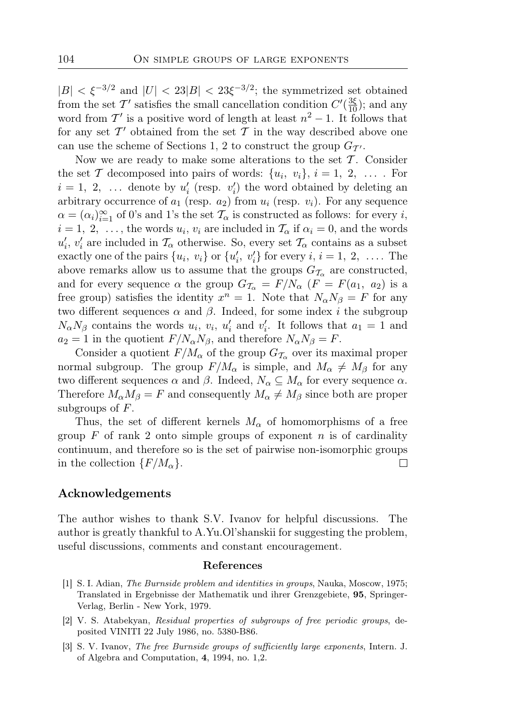$|B| < \xi^{-3/2}$  and  $|U| < 23|B| < 23\xi^{-3/2}$ ; the symmetrized set obtained from the set T' satisfies the small cancellation condition  $C'(\frac{3\xi}{10})$ ; and any word from  $\mathcal{T}'$  is a positive word of length at least  $n^2 - 1$ . It follows that for any set  $\mathcal{T}'$  obtained from the set  $\mathcal T$  in the way described above one can use the scheme of Sections 1, 2 to construct the group  $G_{\mathcal{T}}$ .

Now we are ready to make some alterations to the set  $\mathcal T$ . Consider the set T decomposed into pairs of words:  $\{u_i, v_i\}$ ,  $i = 1, 2, \ldots$ . For  $i = 1, 2, \ldots$  denote by  $u'_i$  (resp.  $v'_i$ ) the word obtained by deleting an arbitrary occurrence of  $a_1$  (resp.  $a_2$ ) from  $u_i$  (resp.  $v_i$ ). For any sequence  $\alpha = (\alpha_i)_{i=1}^{\infty}$  of 0's and 1's the set  $\mathcal{T}_{\alpha}$  is constructed as follows: for every *i*,  $i = 1, 2, \ldots$ , the words  $u_i, v_i$  are included in  $\mathcal{T}_{\alpha}$  if  $\alpha_i = 0$ , and the words  $u'_i, v'_i$  are included in  $\mathcal{T}_{\alpha}$  otherwise. So, every set  $\mathcal{T}_{\alpha}$  contains as a subset exactly one of the pairs  $\{u_i, v_i\}$  or  $\{u'_i, v'_i\}$  for every  $i, i = 1, 2, \ldots$ . The above remarks allow us to assume that the groups  $G_{\mathcal{T}_{\alpha}}$  are constructed, and for every sequence  $\alpha$  the group  $G_{\mathcal{T}_{\alpha}} = F/N_{\alpha}$  ( $F = F(a_1, a_2)$ ) is a free group) satisfies the identity  $x^n = 1$ . Note that  $N_\alpha N_\beta = F$  for any two different sequences  $\alpha$  and  $\beta$ . Indeed, for some index *i* the subgroup  $N_{\alpha}N_{\beta}$  contains the words  $u_i, v_i, u'_i$  and  $v'_i$ . It follows that  $a_1 = 1$  and  $a_2 = 1$  in the quotient  $F/N_\alpha N_\beta$ , and therefore  $N_\alpha N_\beta = F$ .

Consider a quotient  $F/M_{\alpha}$  of the group  $G_{\mathcal{T}_{\alpha}}$  over its maximal proper normal subgroup. The group  $F/M_{\alpha}$  is simple, and  $M_{\alpha} \neq M_{\beta}$  for any two different sequences  $\alpha$  and  $\beta$ . Indeed,  $N_{\alpha} \subseteq M_{\alpha}$  for every sequence  $\alpha$ . Therefore  $M_{\alpha}M_{\beta} = F$  and consequently  $M_{\alpha} \neq M_{\beta}$  since both are proper subgroups of  $F$ .

Thus, the set of different kernels  $M_{\alpha}$  of homomorphisms of a free group  $F$  of rank 2 onto simple groups of exponent n is of cardinality continuum, and therefore so is the set of pairwise non-isomorphic groups in the collection  $\{F/M_{\alpha}\}.$ □

### Acknowledgements

The author wishes to thank S.V. Ivanov for helpful discussions. The author is greatly thankful to A.Yu.Ol'shanskii for suggesting the problem, useful discussions, comments and constant encouragement.

#### References

- [1] S. I. Adian, The Burnside problem and identities in groups, Nauka, Moscow, 1975; Translated in Ergebnisse der Mathematik und ihrer Grenzgebiete, 95, Springer-Verlag, Berlin - New York, 1979.
- [2] V. S. Atabekyan, Residual properties of subgroups of free periodic groups, deposited VINITI 22 July 1986, no. 5380-B86.
- [3] S. V. Ivanov, The free Burnside groups of sufficiently large exponents, Intern. J. of Algebra and Computation, 4, 1994, no. 1,2.